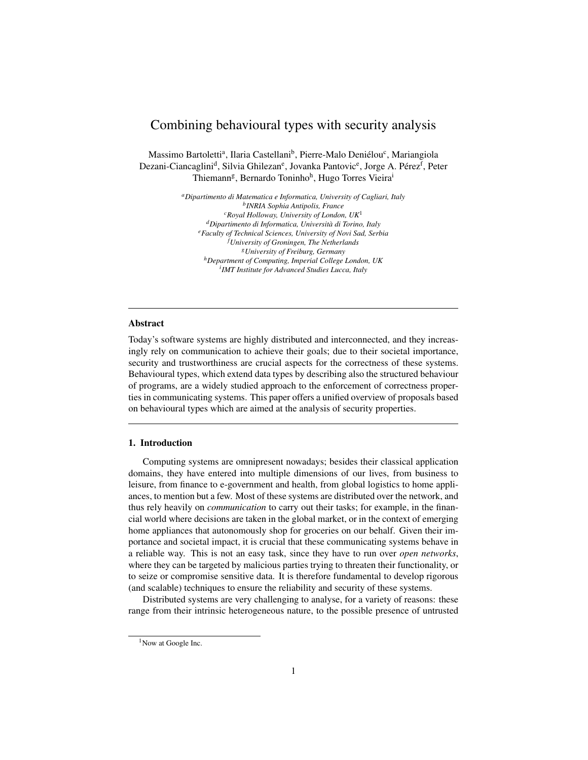# Combining behavioural types with security analysis

Massimo Bartoletti<sup>a</sup>, Ilaria Castellani<sup>b</sup>, Pierre-Malo Deniélou<sup>c</sup>, Mariangiola Dezani-Ciancaglini<sup>d</sup>, Silvia Ghilezan<sup>e</sup>, Jovanka Pantovic<sup>e</sup>, Jorge A. Pérez<sup>f</sup>, Peter Thiemann<sup>g</sup>, Bernardo Toninho<sup>h</sup>, Hugo Torres Vieira<sup>i</sup>

> *<sup>a</sup>Dipartimento di Matematica e Informatica, University of Cagliari, Italy b INRIA Sophia Antipolis, France <sup>c</sup>Royal Holloway, University of London, UK*<sup>1</sup> *<sup>d</sup>Dipartimento di Informatica, Universita di Torino, Italy ` <sup>e</sup>Faculty of Technical Sciences, University of Novi Sad, Serbia <sup>f</sup>University of Groningen, The Netherlands <sup>g</sup>University of Freiburg, Germany <sup>h</sup>Department of Computing, Imperial College London, UK i IMT Institute for Advanced Studies Lucca, Italy*

#### Abstract

Today's software systems are highly distributed and interconnected, and they increasingly rely on communication to achieve their goals; due to their societal importance, security and trustworthiness are crucial aspects for the correctness of these systems. Behavioural types, which extend data types by describing also the structured behaviour of programs, are a widely studied approach to the enforcement of correctness properties in communicating systems. This paper offers a unified overview of proposals based on behavioural types which are aimed at the analysis of security properties.

## 1. Introduction

Computing systems are omnipresent nowadays; besides their classical application domains, they have entered into multiple dimensions of our lives, from business to leisure, from finance to e-government and health, from global logistics to home appliances, to mention but a few. Most of these systems are distributed over the network, and thus rely heavily on *communication* to carry out their tasks; for example, in the financial world where decisions are taken in the global market, or in the context of emerging home appliances that autonomously shop for groceries on our behalf. Given their importance and societal impact, it is crucial that these communicating systems behave in a reliable way. This is not an easy task, since they have to run over *open networks*, where they can be targeted by malicious parties trying to threaten their functionality, or to seize or compromise sensitive data. It is therefore fundamental to develop rigorous (and scalable) techniques to ensure the reliability and security of these systems.

Distributed systems are very challenging to analyse, for a variety of reasons: these range from their intrinsic heterogeneous nature, to the possible presence of untrusted

<sup>&</sup>lt;sup>1</sup>Now at Google Inc.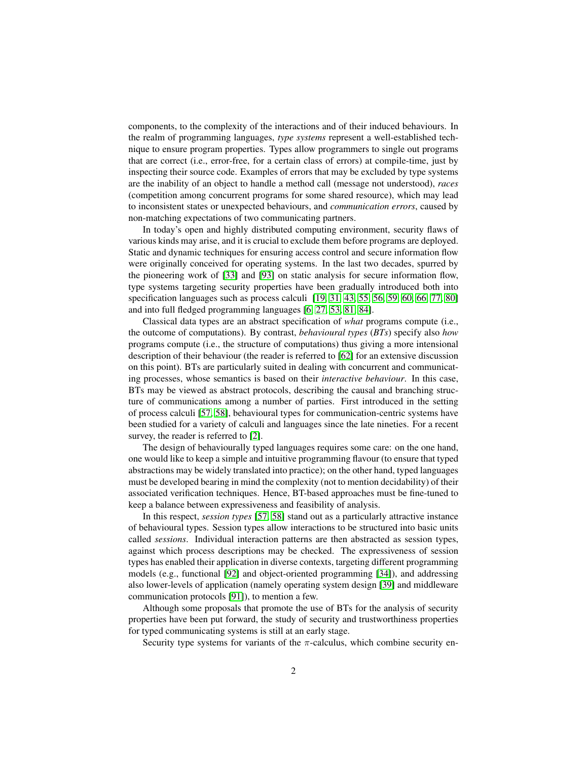components, to the complexity of the interactions and of their induced behaviours. In the realm of programming languages, *type systems* represent a well-established technique to ensure program properties. Types allow programmers to single out programs that are correct (i.e., error-free, for a certain class of errors) at compile-time, just by inspecting their source code. Examples of errors that may be excluded by type systems are the inability of an object to handle a method call (message not understood), *races* (competition among concurrent programs for some shared resource), which may lead to inconsistent states or unexpected behaviours, and *communication errors*, caused by non-matching expectations of two communicating partners.

In today's open and highly distributed computing environment, security flaws of various kinds may arise, and it is crucial to exclude them before programs are deployed. Static and dynamic techniques for ensuring access control and secure information flow were originally conceived for operating systems. In the last two decades, spurred by the pioneering work of [\[33\]](#page-28-0) and [\[93\]](#page-31-0) on static analysis for secure information flow, type systems targeting security properties have been gradually introduced both into specification languages such as process calculi [\[19,](#page-27-0) [31,](#page-28-1) [43,](#page-28-2) [55,](#page-29-0) [56,](#page-29-1) [59,](#page-29-2) [60,](#page-29-3) [66,](#page-30-0) [77,](#page-30-1) [80\]](#page-31-1) and into full fledged programming languages [\[6,](#page-26-0) [27,](#page-27-1) [53,](#page-29-4) [81,](#page-31-2) [84\]](#page-31-3).

Classical data types are an abstract specification of *what* programs compute (i.e., the outcome of computations). By contrast, *behavioural types* (*BTs*) specify also *how* programs compute (i.e., the structure of computations) thus giving a more intensional description of their behaviour (the reader is referred to [\[62\]](#page-29-5) for an extensive discussion on this point). BTs are particularly suited in dealing with concurrent and communicating processes, whose semantics is based on their *interactive behaviour*. In this case, BTs may be viewed as abstract protocols, describing the causal and branching structure of communications among a number of parties. First introduced in the setting of process calculi [\[57,](#page-29-6) [58\]](#page-29-7), behavioural types for communication-centric systems have been studied for a variety of calculi and languages since the late nineties. For a recent survey, the reader is referred to [\[2\]](#page-25-0).

The design of behaviourally typed languages requires some care: on the one hand, one would like to keep a simple and intuitive programming flavour (to ensure that typed abstractions may be widely translated into practice); on the other hand, typed languages must be developed bearing in mind the complexity (not to mention decidability) of their associated verification techniques. Hence, BT-based approaches must be fine-tuned to keep a balance between expressiveness and feasibility of analysis.

In this respect, *session types* [\[57,](#page-29-6) [58\]](#page-29-7) stand out as a particularly attractive instance of behavioural types. Session types allow interactions to be structured into basic units called *sessions*. Individual interaction patterns are then abstracted as session types, against which process descriptions may be checked. The expressiveness of session types has enabled their application in diverse contexts, targeting different programming models (e.g., functional [\[92\]](#page-31-4) and object-oriented programming [\[34\]](#page-28-3)), and addressing also lower-levels of application (namely operating system design [\[39\]](#page-28-4) and middleware communication protocols [\[91\]](#page-31-5)), to mention a few.

Although some proposals that promote the use of BTs for the analysis of security properties have been put forward, the study of security and trustworthiness properties for typed communicating systems is still at an early stage.

Security type systems for variants of the  $\pi$ -calculus, which combine security en-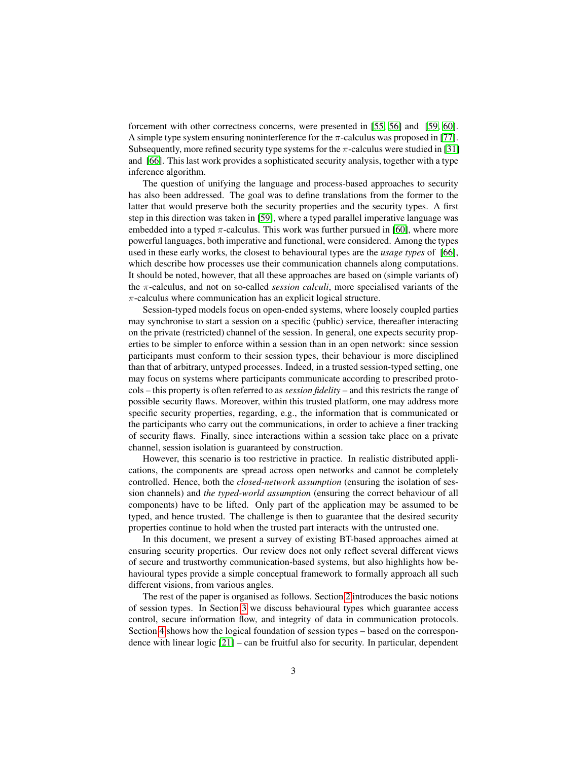forcement with other correctness concerns, were presented in [\[55,](#page-29-0) [56\]](#page-29-1) and [\[59,](#page-29-2) [60\]](#page-29-3). A simple type system ensuring noninterference for the  $\pi$ -calculus was proposed in [\[77\]](#page-30-1). Subsequently, more refined security type systems for the  $\pi$ -calculus were studied in [\[31\]](#page-28-1) and [\[66\]](#page-30-0). This last work provides a sophisticated security analysis, together with a type inference algorithm.

The question of unifying the language and process-based approaches to security has also been addressed. The goal was to define translations from the former to the latter that would preserve both the security properties and the security types. A first step in this direction was taken in [\[59\]](#page-29-2), where a typed parallel imperative language was embedded into a typed  $\pi$ -calculus. This work was further pursued in [\[60\]](#page-29-3), where more powerful languages, both imperative and functional, were considered. Among the types used in these early works, the closest to behavioural types are the *usage types* of [\[66\]](#page-30-0), which describe how processes use their communication channels along computations. It should be noted, however, that all these approaches are based on (simple variants of) the π-calculus, and not on so-called *session calculi*, more specialised variants of the  $\pi$ -calculus where communication has an explicit logical structure.

Session-typed models focus on open-ended systems, where loosely coupled parties may synchronise to start a session on a specific (public) service, thereafter interacting on the private (restricted) channel of the session. In general, one expects security properties to be simpler to enforce within a session than in an open network: since session participants must conform to their session types, their behaviour is more disciplined than that of arbitrary, untyped processes. Indeed, in a trusted session-typed setting, one may focus on systems where participants communicate according to prescribed protocols – this property is often referred to as *session fidelity* – and this restricts the range of possible security flaws. Moreover, within this trusted platform, one may address more specific security properties, regarding, e.g., the information that is communicated or the participants who carry out the communications, in order to achieve a finer tracking of security flaws. Finally, since interactions within a session take place on a private channel, session isolation is guaranteed by construction.

However, this scenario is too restrictive in practice. In realistic distributed applications, the components are spread across open networks and cannot be completely controlled. Hence, both the *closed-network assumption* (ensuring the isolation of session channels) and *the typed-world assumption* (ensuring the correct behaviour of all components) have to be lifted. Only part of the application may be assumed to be typed, and hence trusted. The challenge is then to guarantee that the desired security properties continue to hold when the trusted part interacts with the untrusted one.

In this document, we present a survey of existing BT-based approaches aimed at ensuring security properties. Our review does not only reflect several different views of secure and trustworthy communication-based systems, but also highlights how behavioural types provide a simple conceptual framework to formally approach all such different visions, from various angles.

The rest of the paper is organised as follows. Section [2](#page-3-0) introduces the basic notions of session types. In Section [3](#page-5-0) we discuss behavioural types which guarantee access control, secure information flow, and integrity of data in communication protocols. Section [4](#page-10-0) shows how the logical foundation of session types – based on the correspondence with linear logic [\[21\]](#page-27-2) – can be fruitful also for security. In particular, dependent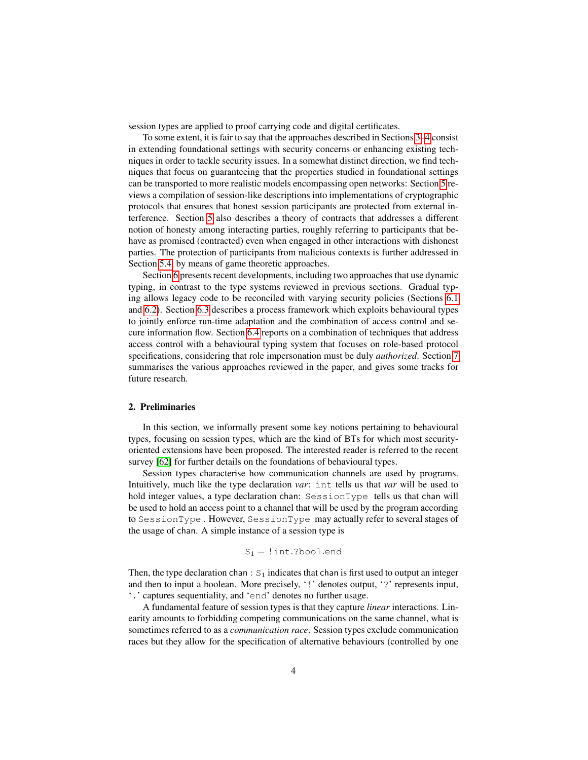session types are applied to proof carrying code and digital certificates.

To some extent, it is fair to say that the approaches described in Sections [3–](#page-5-0)[4](#page-10-0) consist in extending foundational settings with security concerns or enhancing existing techniques in order to tackle security issues. In a somewhat distinct direction, we find techniques that focus on guaranteeing that the properties studied in foundational settings can be transported to more realistic models encompassing open networks: Section [5](#page-14-0) reviews a compilation of session-like descriptions into implementations of cryptographic protocols that ensures that honest session participants are protected from external interference. Section [5](#page-14-0) also describes a theory of contracts that addresses a different notion of honesty among interacting parties, roughly referring to participants that behave as promised (contracted) even when engaged in other interactions with dishonest parties. The protection of participants from malicious contexts is further addressed in Section [5.4,](#page-16-0) by means of game theoretic approaches.

Section [6](#page-18-0) presents recent developments, including two approaches that use dynamic typing, in contrast to the type systems reviewed in previous sections. Gradual typing allows legacy code to be reconciled with varying security policies (Sections [6.1](#page-19-0) and [6.2\)](#page-20-0). Section [6.3](#page-21-0) describes a process framework which exploits behavioural types to jointly enforce run-time adaptation and the combination of access control and secure information flow. Section [6.4](#page-23-0) reports on a combination of techniques that address access control with a behavioural typing system that focuses on role-based protocol specifications, considering that role impersonation must be duly *authorized*. Section [7](#page-23-1) summarises the various approaches reviewed in the paper, and gives some tracks for future research.

## <span id="page-3-0"></span>2. Preliminaries

In this section, we informally present some key notions pertaining to behavioural types, focusing on session types, which are the kind of BTs for which most securityoriented extensions have been proposed. The interested reader is referred to the recent survey [\[62\]](#page-29-5) for further details on the foundations of behavioural types.

Session types characterise how communication channels are used by programs. Intuitively, much like the type declaration *var*: int tells us that *var* will be used to hold integer values, a type declaration chan: SessionType tells us that chan will be used to hold an access point to a channel that will be used by the program according to SessionType . However, SessionType may actually refer to several stages of the usage of chan. A simple instance of a session type is

$$
S_1 = !\, \mathtt{int}.? \mathtt{bool.end}
$$

Then, the type declaration chan :  $S_1$  indicates that chan is first used to output an integer and then to input a boolean. More precisely, '!' denotes output, '?' represents input, '.' captures sequentiality, and 'end' denotes no further usage.

A fundamental feature of session types is that they capture *linear* interactions. Linearity amounts to forbidding competing communications on the same channel, what is sometimes referred to as a *communication race*. Session types exclude communication races but they allow for the specification of alternative behaviours (controlled by one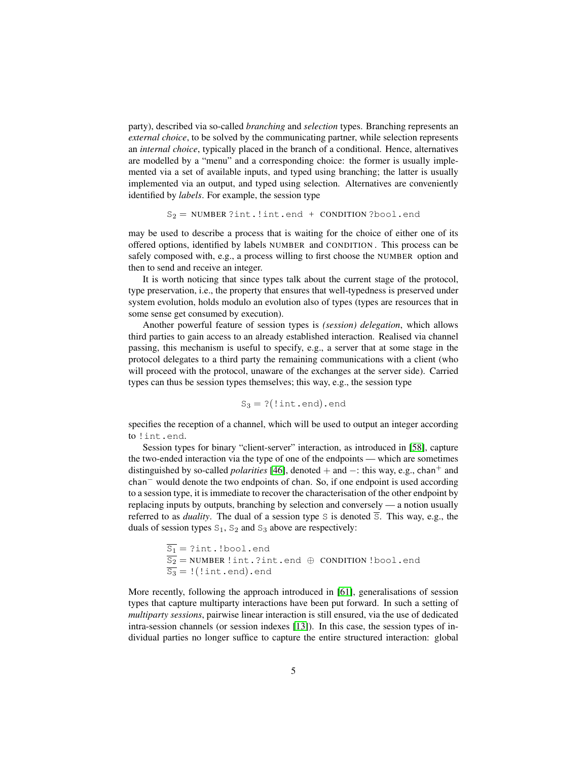party), described via so-called *branching* and *selection* types. Branching represents an *external choice*, to be solved by the communicating partner, while selection represents an *internal choice*, typically placed in the branch of a conditional. Hence, alternatives are modelled by a "menu" and a corresponding choice: the former is usually implemented via a set of available inputs, and typed using branching; the latter is usually implemented via an output, and typed using selection. Alternatives are conveniently identified by *labels*. For example, the session type

#### $S_2$  = NUMBER ?int. !int.end + CONDITION ?bool.end

may be used to describe a process that is waiting for the choice of either one of its offered options, identified by labels NUMBER and CONDITION . This process can be safely composed with, e.g., a process willing to first choose the NUMBER option and then to send and receive an integer.

It is worth noticing that since types talk about the current stage of the protocol, type preservation, i.e., the property that ensures that well-typedness is preserved under system evolution, holds modulo an evolution also of types (types are resources that in some sense get consumed by execution).

Another powerful feature of session types is *(session) delegation*, which allows third parties to gain access to an already established interaction. Realised via channel passing, this mechanism is useful to specify, e.g., a server that at some stage in the protocol delegates to a third party the remaining communications with a client (who will proceed with the protocol, unaware of the exchanges at the server side). Carried types can thus be session types themselves; this way, e.g., the session type

$$
S_3 = ?(!\text{int.end}).\text{end}
$$

specifies the reception of a channel, which will be used to output an integer according to !int.end.

Session types for binary "client-server" interaction, as introduced in [\[58\]](#page-29-7), capture the two-ended interaction via the type of one of the endpoints — which are sometimes distinguished by so-called *polarities* [\[46\]](#page-28-5), denoted  $+$  and  $-$ : this way, e.g., chan<sup>+</sup> and chan<sup>−</sup> would denote the two endpoints of chan. So, if one endpoint is used according to a session type, it is immediate to recover the characterisation of the other endpoint by replacing inputs by outputs, branching by selection and conversely — a notion usually referred to as *duality*. The dual of a session type S is denoted  $\overline{S}$ . This way, e.g., the duals of session types  $S_1$ ,  $S_2$  and  $S_3$  above are respectively:

$$
\frac{\overline{S_1}}{\overline{S_2}} = ?int.!bool.end
$$
  

$$
\frac{\overline{S_2}}{\overline{S_3}} = NUMBER!int.?int.end \oplus CONDITION!bool.end
$$
  

$$
\frac{\overline{S_3}}{\overline{S_3}} = !(!int.end).end
$$

More recently, following the approach introduced in [\[61\]](#page-29-8), generalisations of session types that capture multiparty interactions have been put forward. In such a setting of *multiparty sessions*, pairwise linear interaction is still ensured, via the use of dedicated intra-session channels (or session indexes [\[13\]](#page-26-1)). In this case, the session types of individual parties no longer suffice to capture the entire structured interaction: global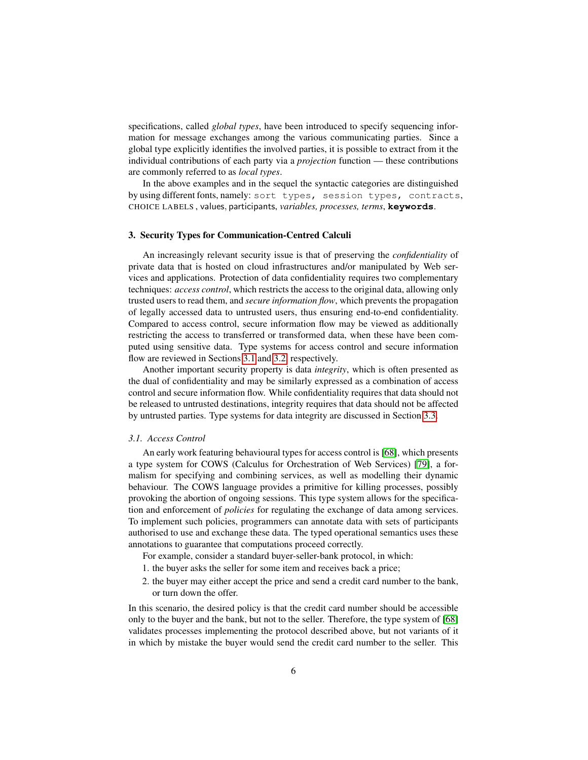specifications, called *global types*, have been introduced to specify sequencing information for message exchanges among the various communicating parties. Since a global type explicitly identifies the involved parties, it is possible to extract from it the individual contributions of each party via a *projection* function — these contributions are commonly referred to as *local types*.

In the above examples and in the sequel the syntactic categories are distinguished by using different fonts, namely: sort types, session types, contracts, CHOICE LABELS , values, participants, *variables, processes, terms*, **keywords**.

#### <span id="page-5-0"></span>3. Security Types for Communication-Centred Calculi

An increasingly relevant security issue is that of preserving the *confidentiality* of private data that is hosted on cloud infrastructures and/or manipulated by Web services and applications. Protection of data confidentiality requires two complementary techniques: *access control*, which restricts the access to the original data, allowing only trusted users to read them, and *secure information flow*, which prevents the propagation of legally accessed data to untrusted users, thus ensuring end-to-end confidentiality. Compared to access control, secure information flow may be viewed as additionally restricting the access to transferred or transformed data, when these have been computed using sensitive data. Type systems for access control and secure information flow are reviewed in Sections [3.1](#page-5-1) and [3.2,](#page-6-0) respectively.

Another important security property is data *integrity*, which is often presented as the dual of confidentiality and may be similarly expressed as a combination of access control and secure information flow. While confidentiality requires that data should not be released to untrusted destinations, integrity requires that data should not be affected by untrusted parties. Type systems for data integrity are discussed in Section [3.3.](#page-9-0)

## <span id="page-5-1"></span>*3.1. Access Control*

An early work featuring behavioural types for access control is [\[68\]](#page-30-2), which presents a type system for COWS (Calculus for Orchestration of Web Services) [\[79\]](#page-30-3), a formalism for specifying and combining services, as well as modelling their dynamic behaviour. The COWS language provides a primitive for killing processes, possibly provoking the abortion of ongoing sessions. This type system allows for the specification and enforcement of *policies* for regulating the exchange of data among services. To implement such policies, programmers can annotate data with sets of participants authorised to use and exchange these data. The typed operational semantics uses these annotations to guarantee that computations proceed correctly.

For example, consider a standard buyer-seller-bank protocol, in which:

- 1. the buyer asks the seller for some item and receives back a price;
- 2. the buyer may either accept the price and send a credit card number to the bank, or turn down the offer.

In this scenario, the desired policy is that the credit card number should be accessible only to the buyer and the bank, but not to the seller. Therefore, the type system of [\[68\]](#page-30-2) validates processes implementing the protocol described above, but not variants of it in which by mistake the buyer would send the credit card number to the seller. This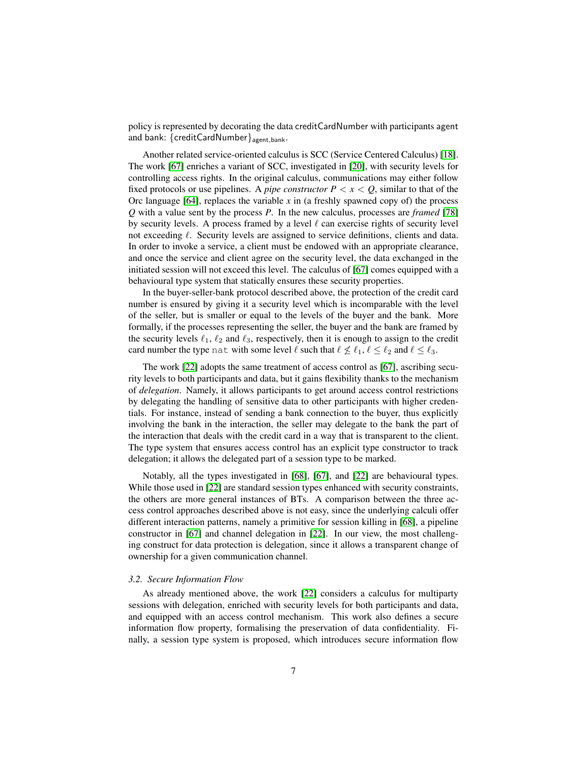policy is represented by decorating the data creditCardNumber with participants agent and bank:  ${creditCardNumber}_{agent,bank}.$ 

Another related service-oriented calculus is SCC (Service Centered Calculus) [\[18\]](#page-27-3). The work [\[67\]](#page-30-4) enriches a variant of SCC, investigated in [\[20\]](#page-27-4), with security levels for controlling access rights. In the original calculus, communications may either follow fixed protocols or use pipelines. A *pipe constructor*  $P \le x \le Q$ , similar to that of the Orc language [\[64\]](#page-30-5), replaces the variable  $x$  in (a freshly spawned copy of) the process *Q* with a value sent by the process *P*. In the new calculus, processes are *framed* [\[78\]](#page-30-6) by security levels. A process framed by a level  $\ell$  can exercise rights of security level not exceeding  $\ell$ . Security levels are assigned to service definitions, clients and data. In order to invoke a service, a client must be endowed with an appropriate clearance, and once the service and client agree on the security level, the data exchanged in the initiated session will not exceed this level. The calculus of [\[67\]](#page-30-4) comes equipped with a behavioural type system that statically ensures these security properties.

In the buyer-seller-bank protocol described above, the protection of the credit card number is ensured by giving it a security level which is incomparable with the level of the seller, but is smaller or equal to the levels of the buyer and the bank. More formally, if the processes representing the seller, the buyer and the bank are framed by the security levels  $\ell_1$ ,  $\ell_2$  and  $\ell_3$ , respectively, then it is enough to assign to the credit card number the type nat with some level  $\ell$  such that  $\ell \leq \ell_1, \ell \leq \ell_2$  and  $\ell \leq \ell_3$ .

The work [\[22\]](#page-27-5) adopts the same treatment of access control as [\[67\]](#page-30-4), ascribing security levels to both participants and data, but it gains flexibility thanks to the mechanism of *delegation*. Namely, it allows participants to get around access control restrictions by delegating the handling of sensitive data to other participants with higher credentials. For instance, instead of sending a bank connection to the buyer, thus explicitly involving the bank in the interaction, the seller may delegate to the bank the part of the interaction that deals with the credit card in a way that is transparent to the client. The type system that ensures access control has an explicit type constructor to track delegation; it allows the delegated part of a session type to be marked.

Notably, all the types investigated in [\[68\]](#page-30-2), [\[67\]](#page-30-4), and [\[22\]](#page-27-5) are behavioural types. While those used in [\[22\]](#page-27-5) are standard session types enhanced with security constraints, the others are more general instances of BTs. A comparison between the three access control approaches described above is not easy, since the underlying calculi offer different interaction patterns, namely a primitive for session killing in [\[68\]](#page-30-2), a pipeline constructor in [\[67\]](#page-30-4) and channel delegation in [\[22\]](#page-27-5). In our view, the most challenging construct for data protection is delegation, since it allows a transparent change of ownership for a given communication channel.

## <span id="page-6-0"></span>*3.2. Secure Information Flow*

As already mentioned above, the work [\[22\]](#page-27-5) considers a calculus for multiparty sessions with delegation, enriched with security levels for both participants and data, and equipped with an access control mechanism. This work also defines a secure information flow property, formalising the preservation of data confidentiality. Finally, a session type system is proposed, which introduces secure information flow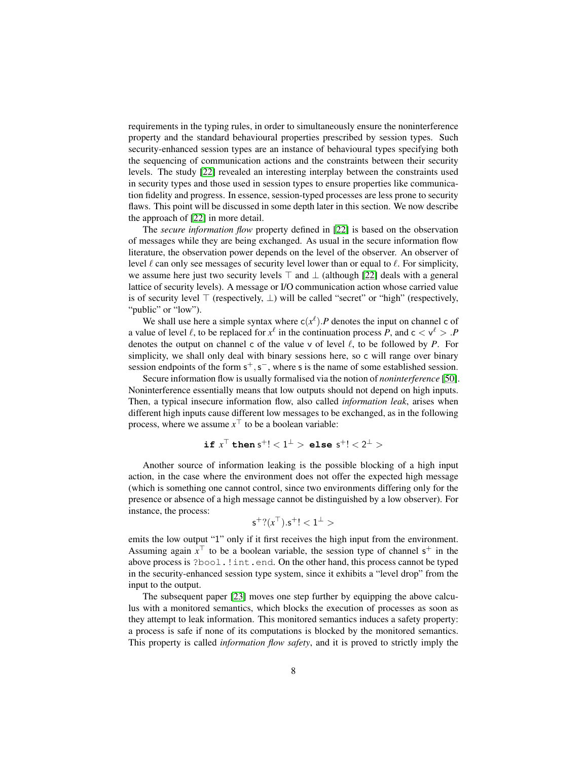requirements in the typing rules, in order to simultaneously ensure the noninterference property and the standard behavioural properties prescribed by session types. Such security-enhanced session types are an instance of behavioural types specifying both the sequencing of communication actions and the constraints between their security levels. The study [\[22\]](#page-27-5) revealed an interesting interplay between the constraints used in security types and those used in session types to ensure properties like communication fidelity and progress. In essence, session-typed processes are less prone to security flaws. This point will be discussed in some depth later in this section. We now describe the approach of [\[22\]](#page-27-5) in more detail.

The *secure information flow* property defined in [\[22\]](#page-27-5) is based on the observation of messages while they are being exchanged. As usual in the secure information flow literature, the observation power depends on the level of the observer. An observer of level  $\ell$  can only see messages of security level lower than or equal to  $\ell$ . For simplicity, we assume here just two security levels  $\top$  and  $\bot$  (although [\[22\]](#page-27-5) deals with a general lattice of security levels). A message or I/O communication action whose carried value is of security level  $\top$  (respectively,  $\bot$ ) will be called "secret" or "high" (respectively, "public" or "low").

We shall use here a simple syntax where  $c(x^{\ell})$ . *P* denotes the input on channel c of a value of level  $\ell$ , to be replaced for  $x^{\ell}$  in the continuation process *P*, and  $c < v^{\ell} > .P$ denotes the output on channel c of the value v of level  $\ell$ , to be followed by *P*. For simplicity, we shall only deal with binary sessions here, so c will range over binary session endpoints of the form  $s^+, s^-,$  where s is the name of some established session.

Secure information flow is usually formalised via the notion of *noninterference* [\[50\]](#page-29-9). Noninterference essentially means that low outputs should not depend on high inputs. Then, a typical insecure information flow, also called *information leak*, arises when different high inputs cause different low messages to be exchanged, as in the following process, where we assume  $x^{\top}$  to be a boolean variable:

$$
\text{if}~x^\top\text{ then }s^+!<1^\bot>\text{ else }s^+!<2^\bot>
$$

Another source of information leaking is the possible blocking of a high input action, in the case where the environment does not offer the expected high message (which is something one cannot control, since two environments differing only for the presence or absence of a high message cannot be distinguished by a low observer). For instance, the process:

$$
s^+? (x^\top).s^+! < 1^\perp >
$$

emits the low output "1" only if it first receives the high input from the environment. Assuming again  $x^{\top}$  to be a boolean variable, the session type of channel  $s^+$  in the above process is ?bool.!int.end. On the other hand, this process cannot be typed in the security-enhanced session type system, since it exhibits a "level drop" from the input to the output.

The subsequent paper [\[23\]](#page-27-6) moves one step further by equipping the above calculus with a monitored semantics, which blocks the execution of processes as soon as they attempt to leak information. This monitored semantics induces a safety property: a process is safe if none of its computations is blocked by the monitored semantics. This property is called *information flow safety*, and it is proved to strictly imply the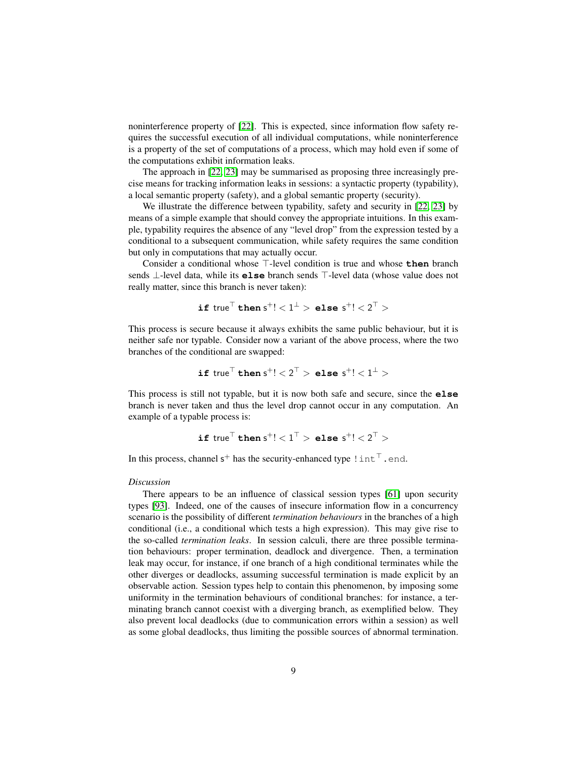noninterference property of [\[22\]](#page-27-5). This is expected, since information flow safety requires the successful execution of all individual computations, while noninterference is a property of the set of computations of a process, which may hold even if some of the computations exhibit information leaks.

The approach in [\[22,](#page-27-5) [23\]](#page-27-6) may be summarised as proposing three increasingly precise means for tracking information leaks in sessions: a syntactic property (typability), a local semantic property (safety), and a global semantic property (security).

We illustrate the difference between typability, safety and security in [\[22,](#page-27-5) [23\]](#page-27-6) by means of a simple example that should convey the appropriate intuitions. In this example, typability requires the absence of any "level drop" from the expression tested by a conditional to a subsequent communication, while safety requires the same condition but only in computations that may actually occur.

Consider a conditional whose  $\top$ -level condition is true and whose **then** branch sends ⊥-level data, while its **else** branch sends >-level data (whose value does not really matter, since this branch is never taken):

$$
\textbf{if}~\textsf{true}^\top~\textbf{then}~\textsf{s}^+!<1^\perp>\textbf{else}~\textsf{s}^+!<2^\top>
$$

This process is secure because it always exhibits the same public behaviour, but it is neither safe nor typable. Consider now a variant of the above process, where the two branches of the conditional are swapped:

$$
\text{if true}^\top \text{ then } s^+!<2^\top\,>\text{ else } s^+!<1^\perp>
$$

This process is still not typable, but it is now both safe and secure, since the **else** branch is never taken and thus the level drop cannot occur in any computation. An example of a typable process is:

$$
\text{if true}^\top \text{ then } s^+!<1^\top>\text{ else } s^+!<2^\top>
$$

In this process, channel  $s^+$  has the security-enhanced type  $!$  int  $\top$  . end.

## *Discussion*

There appears to be an influence of classical session types [\[61\]](#page-29-8) upon security types [\[93\]](#page-31-0). Indeed, one of the causes of insecure information flow in a concurrency scenario is the possibility of different *termination behaviours* in the branches of a high conditional (i.e., a conditional which tests a high expression). This may give rise to the so-called *termination leaks*. In session calculi, there are three possible termination behaviours: proper termination, deadlock and divergence. Then, a termination leak may occur, for instance, if one branch of a high conditional terminates while the other diverges or deadlocks, assuming successful termination is made explicit by an observable action. Session types help to contain this phenomenon, by imposing some uniformity in the termination behaviours of conditional branches: for instance, a terminating branch cannot coexist with a diverging branch, as exemplified below. They also prevent local deadlocks (due to communication errors within a session) as well as some global deadlocks, thus limiting the possible sources of abnormal termination.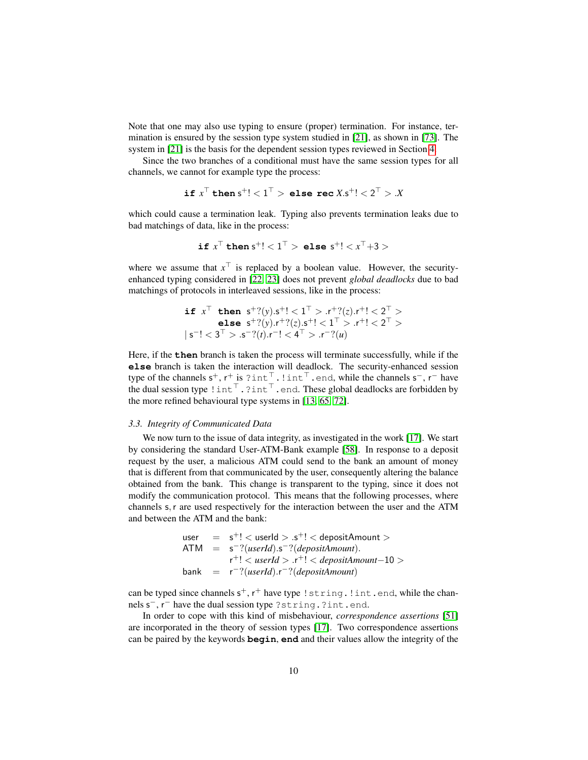Note that one may also use typing to ensure (proper) termination. For instance, termination is ensured by the session type system studied in [\[21\]](#page-27-2), as shown in [\[73\]](#page-30-7). The system in [\[21\]](#page-27-2) is the basis for the dependent session types reviewed in Section [4.](#page-10-0)

Since the two branches of a conditional must have the same session types for all channels, we cannot for example type the process:

$$
\text{if } x^\top \text{ then } s^+! < 1^\top > \text{ else } \text{rec } X.s^+! < 2^\top > .X
$$

which could cause a termination leak. Typing also prevents termination leaks due to bad matchings of data, like in the process:

$$
\text{if } x^{\top} \text{ then } s^+! < 1^{\top} > \text{ else } s^+! < x^{\top} + 3 > \\
$$

where we assume that  $x^{\top}$  is replaced by a boolean value. However, the securityenhanced typing considered in [\[22,](#page-27-5) [23\]](#page-27-6) does not prevent *global deadlocks* due to bad matchings of protocols in interleaved sessions, like in the process:

$$
\begin{array}{ll}\n\text{if } x^{\top} \text{ then } s^+? (y).s^+! < 1^{\top} > .r^+? (z).r^+! < 2^{\top} > \\
\text{else } s^+? (y).r^+? (z).s^+! < 1^{\top} > .r^+! < 2^{\top} > \\
| s^-! < 3^{\top} > .s^-? (t).r^-! < 4^{\top} > .r^-? (u)\n\end{array}
$$

Here, if the **then** branch is taken the process will terminate successfully, while if the **else** branch is taken the interaction will deadlock. The security-enhanced session type of the channels  $s^+, r^+$  is ?int $\top$  . !int $\top$  . end, while the channels  $s^-, r^-$  have the dual session type  $\text{int}^{\top}$ . ?int<sup> $\top$ </sup>. end. These global deadlocks are forbidden by the more refined behavioural type systems in [\[13,](#page-26-1) [65,](#page-30-8) [72\]](#page-30-9).

## <span id="page-9-0"></span>*3.3. Integrity of Communicated Data*

We now turn to the issue of data integrity, as investigated in the work [\[17\]](#page-27-7). We start by considering the standard User-ATM-Bank example [\[58\]](#page-29-7). In response to a deposit request by the user, a malicious ATM could send to the bank an amount of money that is different from that communicated by the user, consequently altering the balance obtained from the bank. This change is transparent to the typing, since it does not modify the communication protocol. This means that the following processes, where channels s,r are used respectively for the interaction between the user and the ATM and between the ATM and the bank:

\n
$$
\text{user} = s^+!< \text{userld} > .s^+!< \text{depositAmount} >
$$
\n  
\n $\text{ATM} = s^-?(\text{userld}).s^-?(\text{depositAmount}).$ \n  
\n $\text{r}^+!< \text{userld} > .r^+!< \text{depositAmount} - 10 >$ \n  
\n $\text{bank} = r^-?(\text{userld}).r^-?(\text{depositAmount})$ \n

can be typed since channels  $s^+$ ,  $r^+$  have type ! string. ! int. end, while the channels s<sup>-</sup>, r<sup>-</sup> have the dual session type ?string.?int.end.

In order to cope with this kind of misbehaviour, *correspondence assertions* [\[51\]](#page-29-10) are incorporated in the theory of session types [\[17\]](#page-27-7). Two correspondence assertions can be paired by the keywords **begin**, **end** and their values allow the integrity of the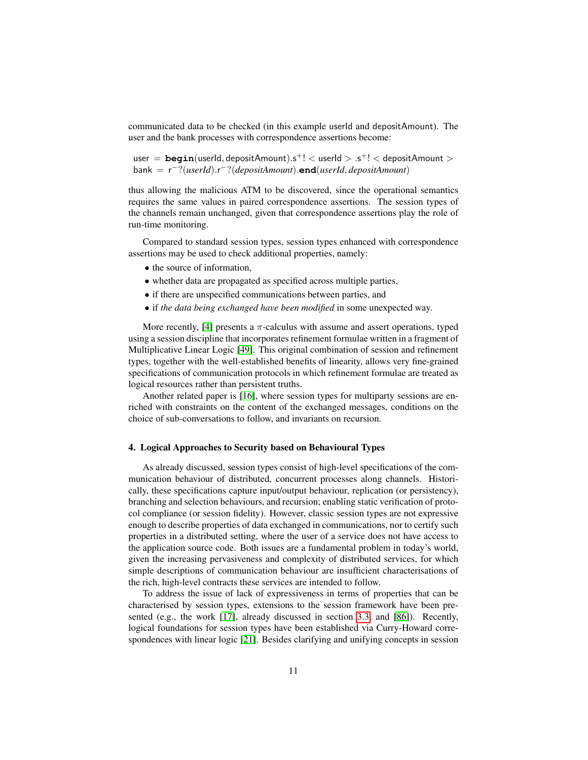communicated data to be checked (in this example userId and depositAmount). The user and the bank processes with correspondence assertions become:

$$
user = \text{begin}(userld, depositAmount).s^{+!} < useful > .s^{+!} < depositAmount > \text{bank} = r^{-?}(userld).r^{-?}(depositAmount).\text{end}(userld, depositAmount)
$$

thus allowing the malicious ATM to be discovered, since the operational semantics requires the same values in paired correspondence assertions. The session types of the channels remain unchanged, given that correspondence assertions play the role of run-time monitoring.

Compared to standard session types, session types enhanced with correspondence assertions may be used to check additional properties, namely:

- the source of information,
- whether data are propagated as specified across multiple parties,
- if there are unspecified communications between parties, and
- if *the data being exchanged have been modified* in some unexpected way.

More recently, [\[4\]](#page-26-2) presents a  $\pi$ -calculus with assume and assert operations, typed using a session discipline that incorporates refinement formulae written in a fragment of Multiplicative Linear Logic [\[49\]](#page-29-11). This original combination of session and refinement types, together with the well-established benefits of linearity, allows very fine-grained specifications of communication protocols in which refinement formulae are treated as logical resources rather than persistent truths.

Another related paper is [\[16\]](#page-26-3), where session types for multiparty sessions are enriched with constraints on the content of the exchanged messages, conditions on the choice of sub-conversations to follow, and invariants on recursion.

## <span id="page-10-0"></span>4. Logical Approaches to Security based on Behavioural Types

As already discussed, session types consist of high-level specifications of the communication behaviour of distributed, concurrent processes along channels. Historically, these specifications capture input/output behaviour, replication (or persistency), branching and selection behaviours, and recursion; enabling static verification of protocol compliance (or session fidelity). However, classic session types are not expressive enough to describe properties of data exchanged in communications, nor to certify such properties in a distributed setting, where the user of a service does not have access to the application source code. Both issues are a fundamental problem in today's world, given the increasing pervasiveness and complexity of distributed services, for which simple descriptions of communication behaviour are insufficient characterisations of the rich, high-level contracts these services are intended to follow.

To address the issue of lack of expressiveness in terms of properties that can be characterised by session types, extensions to the session framework have been presented (e.g., the work [\[17\]](#page-27-7), already discussed in section [3.3,](#page-9-0) and [\[86\]](#page-31-6)). Recently, logical foundations for session types have been established via Curry-Howard correspondences with linear logic [\[21\]](#page-27-2). Besides clarifying and unifying concepts in session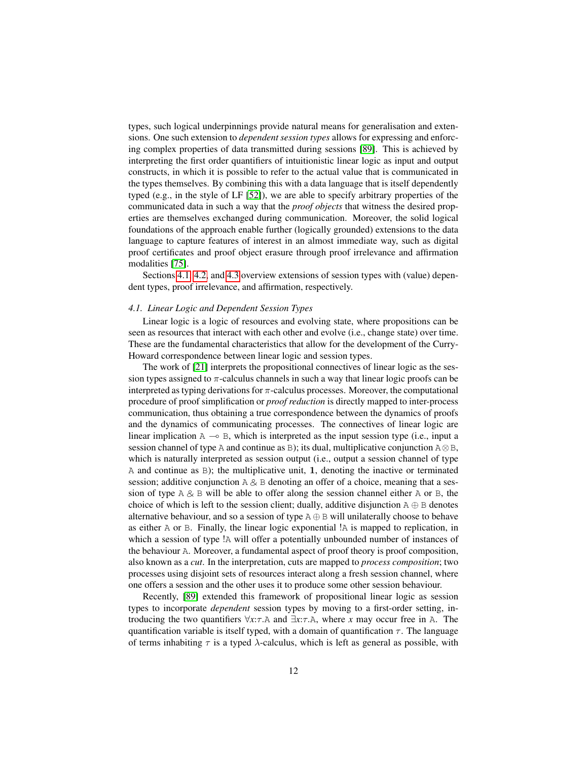types, such logical underpinnings provide natural means for generalisation and extensions. One such extension to *dependent session types* allows for expressing and enforcing complex properties of data transmitted during sessions [\[89\]](#page-31-7). This is achieved by interpreting the first order quantifiers of intuitionistic linear logic as input and output constructs, in which it is possible to refer to the actual value that is communicated in the types themselves. By combining this with a data language that is itself dependently typed (e.g., in the style of LF [\[52\]](#page-29-12)), we are able to specify arbitrary properties of the communicated data in such a way that the *proof objects* that witness the desired properties are themselves exchanged during communication. Moreover, the solid logical foundations of the approach enable further (logically grounded) extensions to the data language to capture features of interest in an almost immediate way, such as digital proof certificates and proof object erasure through proof irrelevance and affirmation modalities [\[75\]](#page-30-10).

Sections [4.1,](#page-11-0) [4.2,](#page-12-0) and [4.3](#page-13-0) overview extensions of session types with (value) dependent types, proof irrelevance, and affirmation, respectively.

#### <span id="page-11-0"></span>*4.1. Linear Logic and Dependent Session Types*

Linear logic is a logic of resources and evolving state, where propositions can be seen as resources that interact with each other and evolve (i.e., change state) over time. These are the fundamental characteristics that allow for the development of the Curry-Howard correspondence between linear logic and session types.

The work of [\[21\]](#page-27-2) interprets the propositional connectives of linear logic as the session types assigned to  $\pi$ -calculus channels in such a way that linear logic proofs can be interpreted as typing derivations for  $\pi$ -calculus processes. Moreover, the computational procedure of proof simplification or *proof reduction* is directly mapped to inter-process communication, thus obtaining a true correspondence between the dynamics of proofs and the dynamics of communicating processes. The connectives of linear logic are linear implication  $A \rightarrow B$ , which is interpreted as the input session type (i.e., input a session channel of type A and continue as B); its dual, multiplicative conjunction  $A \otimes B$ , which is naturally interpreted as session output (i.e., output a session channel of type A and continue as B); the multiplicative unit, 1, denoting the inactive or terminated session; additive conjunction  $A \& B$  denoting an offer of a choice, meaning that a session of type  $A \& B$  will be able to offer along the session channel either A or B, the choice of which is left to the session client; dually, additive disjunction  $A \oplus B$  denotes alternative behaviour, and so a session of type  $A \oplus B$  will unilaterally choose to behave as either A or B. Finally, the linear logic exponential !A is mapped to replication, in which a session of type !A will offer a potentially unbounded number of instances of the behaviour A. Moreover, a fundamental aspect of proof theory is proof composition, also known as a *cut*. In the interpretation, cuts are mapped to *process composition*; two processes using disjoint sets of resources interact along a fresh session channel, where one offers a session and the other uses it to produce some other session behaviour.

Recently, [\[89\]](#page-31-7) extended this framework of propositional linear logic as session types to incorporate *dependent* session types by moving to a first-order setting, introducing the two quantifiers  $\forall x$ :*τ*.A and  $\exists x$ :*τ*.A, where *x* may occur free in A. The quantification variable is itself typed, with a domain of quantification  $\tau$ . The language of terms inhabiting  $\tau$  is a typed  $\lambda$ -calculus, which is left as general as possible, with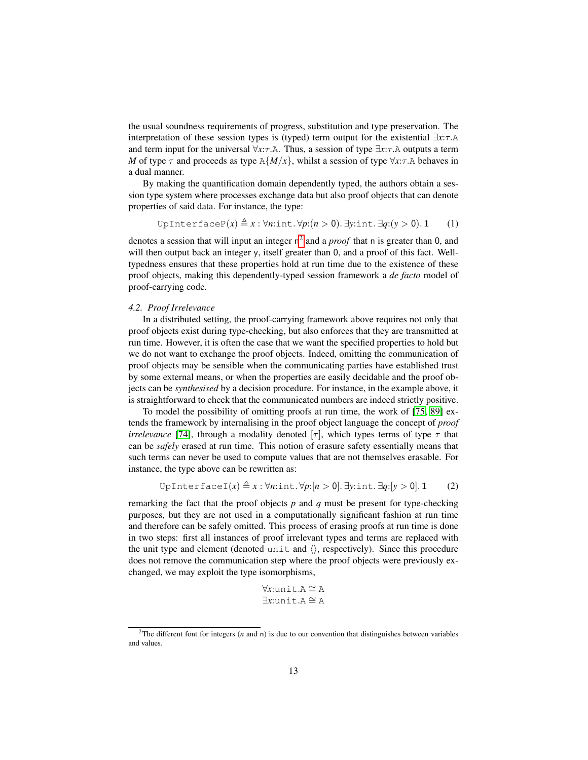the usual soundness requirements of progress, substitution and type preservation. The interpretation of these session types is (typed) term output for the existential ∃*x*:τ.A and term input for the universal  $\forall x:\tau.A$ . Thus, a session of type  $\exists x:\tau.A$  outputs a term *M* of type  $\tau$  and proceeds as type A $\{M/x\}$ , whilst a session of type  $\forall x:\tau$ . A behaves in a dual manner.

By making the quantification domain dependently typed, the authors obtain a session type system where processes exchange data but also proof objects that can denote properties of said data. For instance, the type:

<span id="page-12-2"></span>
$$
\text{UpdateFaceP}(x) \triangleq x : \forall n: \text{int.} \forall p: (n > 0). \exists y: \text{int.} \exists q: (y > 0).1 \qquad (1)
$$

denotes a session that will input an integer n [2](#page-12-1) and a *proof* that n is greater than 0, and will then output back an integer y, itself greater than 0, and a proof of this fact. Welltypedness ensures that these properties hold at run time due to the existence of these proof objects, making this dependently-typed session framework a *de facto* model of proof-carrying code.

#### <span id="page-12-0"></span>*4.2. Proof Irrelevance*

In a distributed setting, the proof-carrying framework above requires not only that proof objects exist during type-checking, but also enforces that they are transmitted at run time. However, it is often the case that we want the specified properties to hold but we do not want to exchange the proof objects. Indeed, omitting the communication of proof objects may be sensible when the communicating parties have established trust by some external means, or when the properties are easily decidable and the proof objects can be *synthesised* by a decision procedure. For instance, in the example above, it is straightforward to check that the communicated numbers are indeed strictly positive.

To model the possibility of omitting proofs at run time, the work of [\[75,](#page-30-10) [89\]](#page-31-7) extends the framework by internalising in the proof object language the concept of *proof irrelevance* [\[74\]](#page-30-11), through a modality denoted [ $\tau$ ], which types terms of type  $\tau$  that can be *safely* erased at run time. This notion of erasure safety essentially means that such terms can never be used to compute values that are not themselves erasable. For instance, the type above can be rewritten as:

$$
\text{UpInterfaceI}(x) \triangleq x : \forall n : \text{int. } \forall p : [n > 0]. \exists y : \text{int. } \exists q : [y > 0]. \; 1 \qquad (2)
$$

remarking the fact that the proof objects *p* and *q* must be present for type-checking purposes, but they are not used in a computationally significant fashion at run time and therefore can be safely omitted. This process of erasing proofs at run time is done in two steps: first all instances of proof irrelevant types and terms are replaced with the unit type and element (denoted unit and  $\langle \rangle$ , respectively). Since this procedure does not remove the communication step where the proof objects were previously exchanged, we may exploit the type isomorphisms,

<span id="page-12-3"></span>
$$
\forall x: \text{unit.} \mathbf{A} \cong \mathbf{A}
$$
  

$$
\exists x: \text{unit.} \mathbf{A} \cong \mathbf{A}
$$

<span id="page-12-1"></span><sup>&</sup>lt;sup>2</sup>The different font for integers ( $n$  and  $n$ ) is due to our convention that distinguishes between variables and values.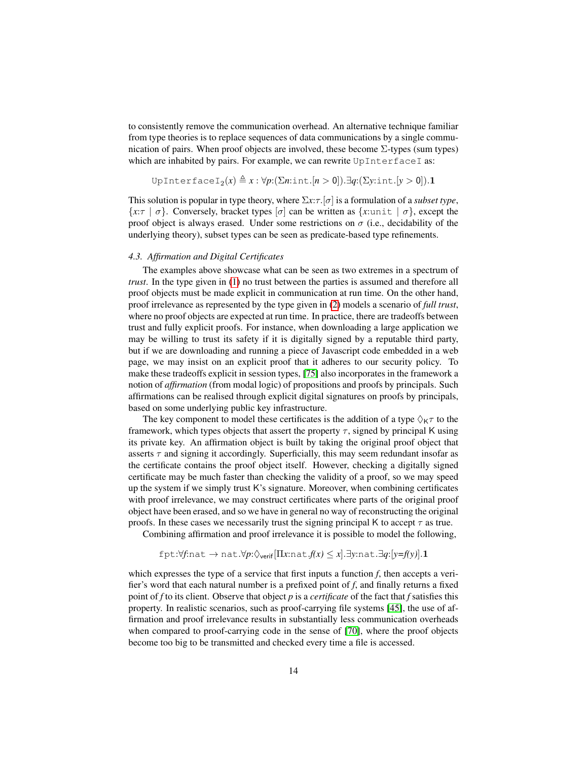to consistently remove the communication overhead. An alternative technique familiar from type theories is to replace sequences of data communications by a single communication of pairs. When proof objects are involved, these become  $\Sigma$ -types (sum types) which are inhabited by pairs. For example, we can rewrite UpInterfaceI as:

UpInterfaceI<sub>2</sub>(x)  $\triangleq x$ :  $\forall p$ :( $\Sigma n$ :int.[*n* > 0]).] $q$ :( $\Sigma y$ :int.[*y* > 0]).1

This solution is popular in type theory, where  $\Sigma x$ :*τ*.[ $\sigma$ ] is a formulation of a *subset type*,  ${x:\tau | \sigma}$ . Conversely, bracket types  $[\sigma]$  can be written as  ${x:\tau | \sigma}$ , except the proof object is always erased. Under some restrictions on  $\sigma$  (i.e., decidability of the underlying theory), subset types can be seen as predicate-based type refinements.

## <span id="page-13-0"></span>*4.3. Affirmation and Digital Certificates*

The examples above showcase what can be seen as two extremes in a spectrum of *trust*. In the type given in [\(1\)](#page-12-2) no trust between the parties is assumed and therefore all proof objects must be made explicit in communication at run time. On the other hand, proof irrelevance as represented by the type given in [\(2\)](#page-12-3) models a scenario of *full trust*, where no proof objects are expected at run time. In practice, there are tradeoffs between trust and fully explicit proofs. For instance, when downloading a large application we may be willing to trust its safety if it is digitally signed by a reputable third party, but if we are downloading and running a piece of Javascript code embedded in a web page, we may insist on an explicit proof that it adheres to our security policy. To make these tradeoffs explicit in session types, [\[75\]](#page-30-10) also incorporates in the framework a notion of *affirmation* (from modal logic) of propositions and proofs by principals. Such affirmations can be realised through explicit digital signatures on proofs by principals, based on some underlying public key infrastructure.

The key component to model these certificates is the addition of a type  $\Diamond$ <sub>K</sub> $\tau$  to the framework, which types objects that assert the property  $\tau$ , signed by principal K using its private key. An affirmation object is built by taking the original proof object that asserts  $\tau$  and signing it accordingly. Superficially, this may seem redundant insofar as the certificate contains the proof object itself. However, checking a digitally signed certificate may be much faster than checking the validity of a proof, so we may speed up the system if we simply trust K's signature. Moreover, when combining certificates with proof irrelevance, we may construct certificates where parts of the original proof object have been erased, and so we have in general no way of reconstructing the original proofs. In these cases we necessarily trust the signing principal K to accept  $\tau$  as true.

Combining affirmation and proof irrelevance it is possible to model the following,

$$
\text{fpt:}\forall f \text{.nat} \rightarrow \text{nat.}\forall p:\Diamond_{\text{verify}}[\Pi x \text{.nat}.f(x) \leq x].\exists y \text{.nat.}\exists q:[y=f(y)].\mathbf{1}
$$

which expresses the type of a service that first inputs a function *f*, then accepts a verifier's word that each natural number is a prefixed point of *f*, and finally returns a fixed point of *f* to its client. Observe that object *p* is a *certificate* of the fact that *f* satisfies this property. In realistic scenarios, such as proof-carrying file systems [\[45\]](#page-28-6), the use of affirmation and proof irrelevance results in substantially less communication overheads when compared to proof-carrying code in the sense of [\[70\]](#page-30-12), where the proof objects become too big to be transmitted and checked every time a file is accessed.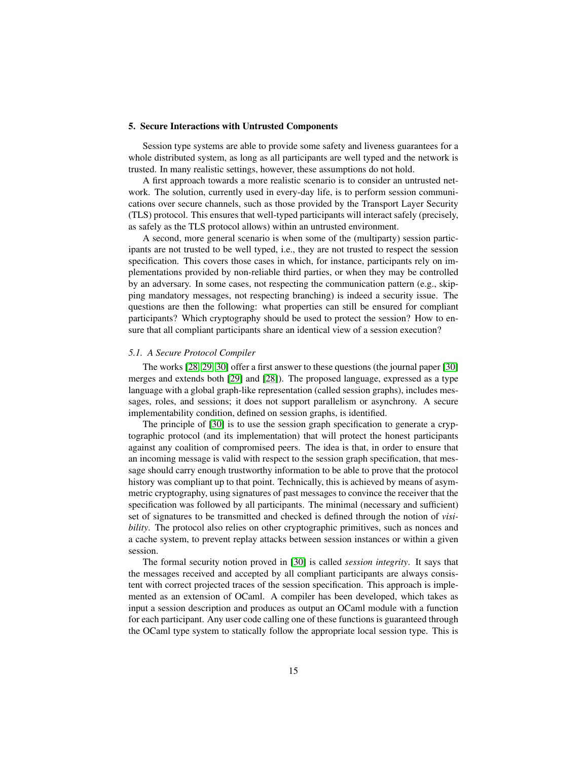#### <span id="page-14-0"></span>5. Secure Interactions with Untrusted Components

Session type systems are able to provide some safety and liveness guarantees for a whole distributed system, as long as all participants are well typed and the network is trusted. In many realistic settings, however, these assumptions do not hold.

A first approach towards a more realistic scenario is to consider an untrusted network. The solution, currently used in every-day life, is to perform session communications over secure channels, such as those provided by the Transport Layer Security (TLS) protocol. This ensures that well-typed participants will interact safely (precisely, as safely as the TLS protocol allows) within an untrusted environment.

A second, more general scenario is when some of the (multiparty) session participants are not trusted to be well typed, i.e., they are not trusted to respect the session specification. This covers those cases in which, for instance, participants rely on implementations provided by non-reliable third parties, or when they may be controlled by an adversary. In some cases, not respecting the communication pattern (e.g., skipping mandatory messages, not respecting branching) is indeed a security issue. The questions are then the following: what properties can still be ensured for compliant participants? Which cryptography should be used to protect the session? How to ensure that all compliant participants share an identical view of a session execution?

#### <span id="page-14-1"></span>*5.1. A Secure Protocol Compiler*

The works [\[28,](#page-27-8) [29,](#page-27-9) [30\]](#page-27-10) offer a first answer to these questions (the journal paper [\[30\]](#page-27-10) merges and extends both [\[29\]](#page-27-9) and [\[28\]](#page-27-8)). The proposed language, expressed as a type language with a global graph-like representation (called session graphs), includes messages, roles, and sessions; it does not support parallelism or asynchrony. A secure implementability condition, defined on session graphs, is identified.

The principle of [\[30\]](#page-27-10) is to use the session graph specification to generate a cryptographic protocol (and its implementation) that will protect the honest participants against any coalition of compromised peers. The idea is that, in order to ensure that an incoming message is valid with respect to the session graph specification, that message should carry enough trustworthy information to be able to prove that the protocol history was compliant up to that point. Technically, this is achieved by means of asymmetric cryptography, using signatures of past messages to convince the receiver that the specification was followed by all participants. The minimal (necessary and sufficient) set of signatures to be transmitted and checked is defined through the notion of *visibility*. The protocol also relies on other cryptographic primitives, such as nonces and a cache system, to prevent replay attacks between session instances or within a given session.

The formal security notion proved in [\[30\]](#page-27-10) is called *session integrity*. It says that the messages received and accepted by all compliant participants are always consistent with correct projected traces of the session specification. This approach is implemented as an extension of OCaml. A compiler has been developed, which takes as input a session description and produces as output an OCaml module with a function for each participant. Any user code calling one of these functions is guaranteed through the OCaml type system to statically follow the appropriate local session type. This is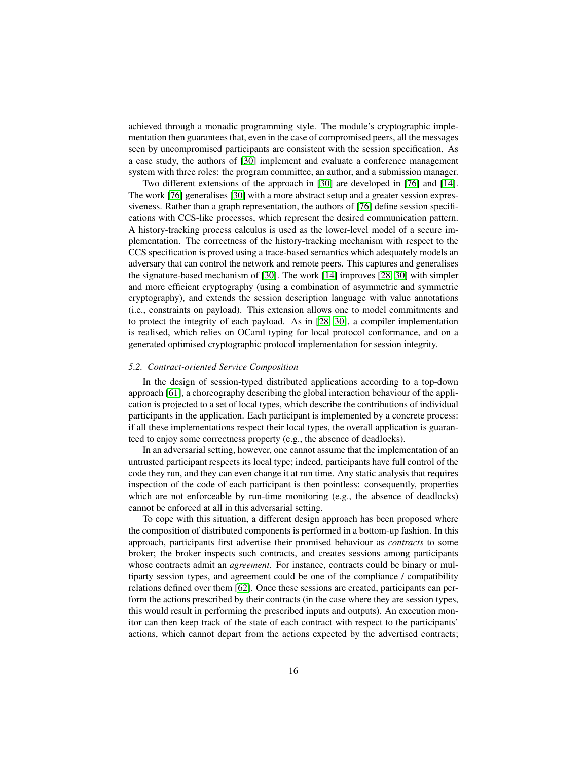achieved through a monadic programming style. The module's cryptographic implementation then guarantees that, even in the case of compromised peers, all the messages seen by uncompromised participants are consistent with the session specification. As a case study, the authors of [\[30\]](#page-27-10) implement and evaluate a conference management system with three roles: the program committee, an author, and a submission manager.

Two different extensions of the approach in [\[30\]](#page-27-10) are developed in [\[76\]](#page-30-13) and [\[14\]](#page-26-4). The work [\[76\]](#page-30-13) generalises [\[30\]](#page-27-10) with a more abstract setup and a greater session expressiveness. Rather than a graph representation, the authors of [\[76\]](#page-30-13) define session specifications with CCS-like processes, which represent the desired communication pattern. A history-tracking process calculus is used as the lower-level model of a secure implementation. The correctness of the history-tracking mechanism with respect to the CCS specification is proved using a trace-based semantics which adequately models an adversary that can control the network and remote peers. This captures and generalises the signature-based mechanism of [\[30\]](#page-27-10). The work [\[14\]](#page-26-4) improves [\[28,](#page-27-8) [30\]](#page-27-10) with simpler and more efficient cryptography (using a combination of asymmetric and symmetric cryptography), and extends the session description language with value annotations (i.e., constraints on payload). This extension allows one to model commitments and to protect the integrity of each payload. As in [\[28,](#page-27-8) [30\]](#page-27-10), a compiler implementation is realised, which relies on OCaml typing for local protocol conformance, and on a generated optimised cryptographic protocol implementation for session integrity.

#### *5.2. Contract-oriented Service Composition*

In the design of session-typed distributed applications according to a top-down approach [\[61\]](#page-29-8), a choreography describing the global interaction behaviour of the application is projected to a set of local types, which describe the contributions of individual participants in the application. Each participant is implemented by a concrete process: if all these implementations respect their local types, the overall application is guaranteed to enjoy some correctness property (e.g., the absence of deadlocks).

In an adversarial setting, however, one cannot assume that the implementation of an untrusted participant respects its local type; indeed, participants have full control of the code they run, and they can even change it at run time. Any static analysis that requires inspection of the code of each participant is then pointless: consequently, properties which are not enforceable by run-time monitoring (e.g., the absence of deadlocks) cannot be enforced at all in this adversarial setting.

To cope with this situation, a different design approach has been proposed where the composition of distributed components is performed in a bottom-up fashion. In this approach, participants first advertise their promised behaviour as *contracts* to some broker; the broker inspects such contracts, and creates sessions among participants whose contracts admit an *agreement*. For instance, contracts could be binary or multiparty session types, and agreement could be one of the compliance / compatibility relations defined over them [\[62\]](#page-29-5). Once these sessions are created, participants can perform the actions prescribed by their contracts (in the case where they are session types, this would result in performing the prescribed inputs and outputs). An execution monitor can then keep track of the state of each contract with respect to the participants' actions, which cannot depart from the actions expected by the advertised contracts;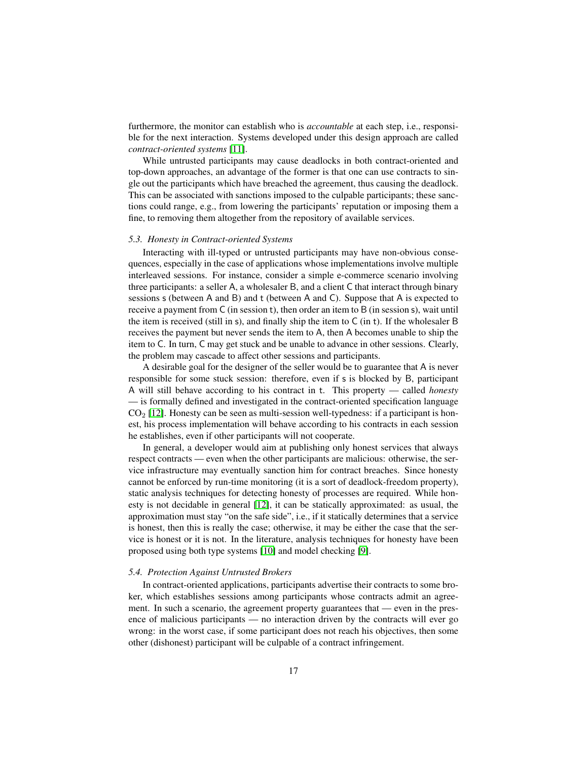furthermore, the monitor can establish who is *accountable* at each step, i.e., responsible for the next interaction. Systems developed under this design approach are called *contract-oriented systems* [\[11\]](#page-26-5).

While untrusted participants may cause deadlocks in both contract-oriented and top-down approaches, an advantage of the former is that one can use contracts to single out the participants which have breached the agreement, thus causing the deadlock. This can be associated with sanctions imposed to the culpable participants; these sanctions could range, e.g., from lowering the participants' reputation or imposing them a fine, to removing them altogether from the repository of available services.

#### *5.3. Honesty in Contract-oriented Systems*

Interacting with ill-typed or untrusted participants may have non-obvious consequences, especially in the case of applications whose implementations involve multiple interleaved sessions. For instance, consider a simple e-commerce scenario involving three participants: a seller A, a wholesaler B, and a client C that interact through binary sessions s (between A and B) and t (between A and C). Suppose that A is expected to receive a payment from C (in session t), then order an item to B (in session s), wait until the item is received (still in s), and finally ship the item to C (in t). If the wholesaler B receives the payment but never sends the item to A, then A becomes unable to ship the item to C. In turn, C may get stuck and be unable to advance in other sessions. Clearly, the problem may cascade to affect other sessions and participants.

A desirable goal for the designer of the seller would be to guarantee that A is never responsible for some stuck session: therefore, even if s is blocked by B, participant A will still behave according to his contract in t. This property — called *honesty* — is formally defined and investigated in the contract-oriented specification language  $CO<sub>2</sub>$  [\[12\]](#page-26-6). Honesty can be seen as multi-session well-typedness: if a participant is honest, his process implementation will behave according to his contracts in each session he establishes, even if other participants will not cooperate.

In general, a developer would aim at publishing only honest services that always respect contracts — even when the other participants are malicious: otherwise, the service infrastructure may eventually sanction him for contract breaches. Since honesty cannot be enforced by run-time monitoring (it is a sort of deadlock-freedom property), static analysis techniques for detecting honesty of processes are required. While honesty is not decidable in general [\[12\]](#page-26-6), it can be statically approximated: as usual, the approximation must stay "on the safe side", i.e., if it statically determines that a service is honest, then this is really the case; otherwise, it may be either the case that the service is honest or it is not. In the literature, analysis techniques for honesty have been proposed using both type systems [\[10\]](#page-26-7) and model checking [\[9\]](#page-26-8).

#### <span id="page-16-0"></span>*5.4. Protection Against Untrusted Brokers*

In contract-oriented applications, participants advertise their contracts to some broker, which establishes sessions among participants whose contracts admit an agreement. In such a scenario, the agreement property guarantees that — even in the presence of malicious participants — no interaction driven by the contracts will ever go wrong: in the worst case, if some participant does not reach his objectives, then some other (dishonest) participant will be culpable of a contract infringement.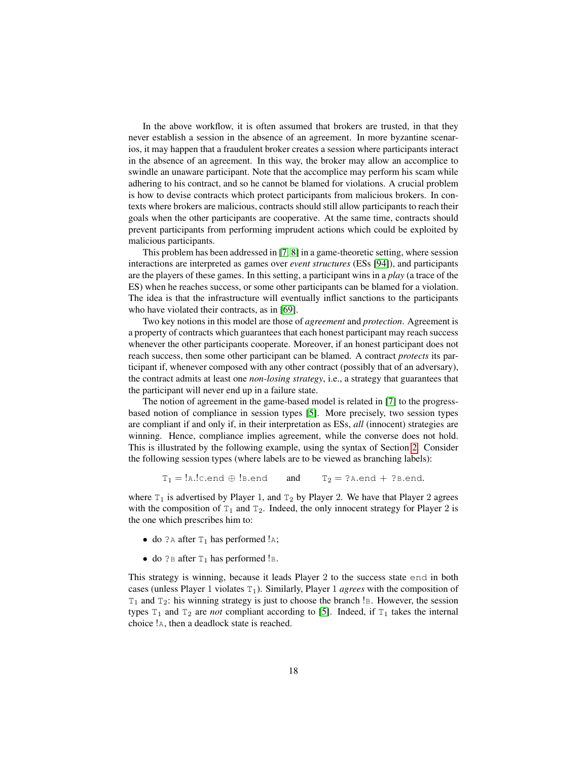In the above workflow, it is often assumed that brokers are trusted, in that they never establish a session in the absence of an agreement. In more byzantine scenarios, it may happen that a fraudulent broker creates a session where participants interact in the absence of an agreement. In this way, the broker may allow an accomplice to swindle an unaware participant. Note that the accomplice may perform his scam while adhering to his contract, and so he cannot be blamed for violations. A crucial problem is how to devise contracts which protect participants from malicious brokers. In contexts where brokers are malicious, contracts should still allow participants to reach their goals when the other participants are cooperative. At the same time, contracts should prevent participants from performing imprudent actions which could be exploited by malicious participants.

This problem has been addressed in [\[7,](#page-26-9) [8\]](#page-26-10) in a game-theoretic setting, where session interactions are interpreted as games over *event structures* (ESs [\[94\]](#page-31-8)), and participants are the players of these games. In this setting, a participant wins in a *play* (a trace of the ES) when he reaches success, or some other participants can be blamed for a violation. The idea is that the infrastructure will eventually inflict sanctions to the participants who have violated their contracts, as in [\[69\]](#page-30-14).

Two key notions in this model are those of *agreement* and *protection*. Agreement is a property of contracts which guarantees that each honest participant may reach success whenever the other participants cooperate. Moreover, if an honest participant does not reach success, then some other participant can be blamed. A contract *protects* its participant if, whenever composed with any other contract (possibly that of an adversary), the contract admits at least one *non-losing strategy*, i.e., a strategy that guarantees that the participant will never end up in a failure state.

The notion of agreement in the game-based model is related in [\[7\]](#page-26-9) to the progressbased notion of compliance in session types [\[5\]](#page-26-11). More precisely, two session types are compliant if and only if, in their interpretation as ESs, *all* (innocent) strategies are winning. Hence, compliance implies agreement, while the converse does not hold. This is illustrated by the following example, using the syntax of Section [2.](#page-3-0) Consider the following session types (where labels are to be viewed as branching labels):

 $T_1 = !$ A.!c.end  $\oplus$  !B.end and  $T_2 = ?$ A.end + ?B.end.

where  $T_1$  is advertised by Player 1, and  $T_2$  by Player 2. We have that Player 2 agrees with the composition of  $T_1$  and  $T_2$ . Indeed, the only innocent strategy for Player 2 is the one which prescribes him to:

- do ?A after  $T_1$  has performed !A;
- do ? $B$  after  $T_1$  has performed ! $B$ .

This strategy is winning, because it leads Player 2 to the success state end in both cases (unless Player 1 violates T1). Similarly, Player 1 *agrees* with the composition of  $T_1$  and  $T_2$ : his winning strategy is just to choose the branch !B. However, the session types  $T_1$  and  $T_2$  are *not* compliant according to [\[5\]](#page-26-11). Indeed, if  $T_1$  takes the internal choice !A, then a deadlock state is reached.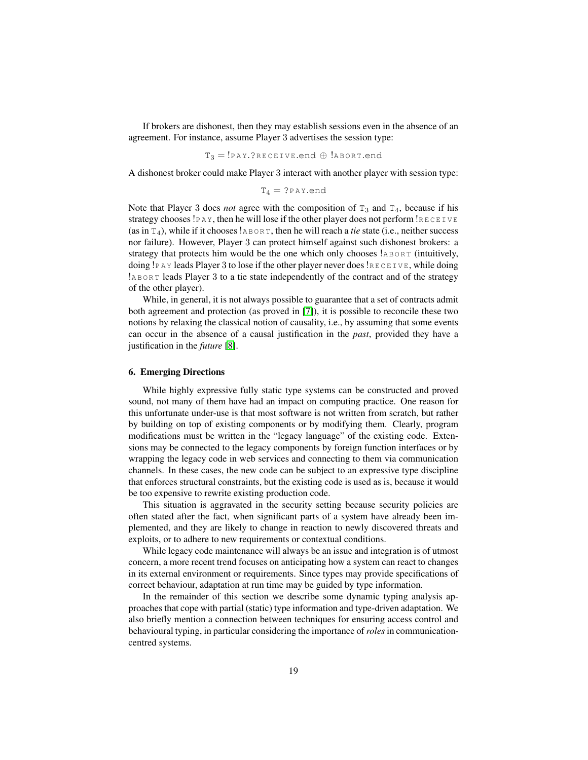If brokers are dishonest, then they may establish sessions even in the absence of an agreement. For instance, assume Player 3 advertises the session type:

$$
T_3 = !
$$
PAY.  
?RECEIVE.end  $\oplus$  !**ABORT**.end

A dishonest broker could make Player 3 interact with another player with session type:

$$
\mathtt{T}_4 = \texttt{?PAY.end}
$$

Note that Player 3 does *not* agree with the composition of  $T_3$  and  $T_4$ , because if his strategy chooses !P A Y, then he will lose if the other player does not perform !RECEIVE (as in  $T_4$ ), while if it chooses ! $A B O R T$ , then he will reach a *tie* state (i.e., neither success nor failure). However, Player 3 can protect himself against such dishonest brokers: a strategy that protects him would be the one which only chooses !ABORT (intuitively, doing  $\lg$  P A Y leads Player 3 to lose if the other player never does  $\lg$  RECEIVE, while doing !A B O R T leads Player 3 to a tie state independently of the contract and of the strategy of the other player).

While, in general, it is not always possible to guarantee that a set of contracts admit both agreement and protection (as proved in [\[7\]](#page-26-9)), it is possible to reconcile these two notions by relaxing the classical notion of causality, i.e., by assuming that some events can occur in the absence of a causal justification in the *past*, provided they have a justification in the *future* [\[8\]](#page-26-10).

#### <span id="page-18-0"></span>6. Emerging Directions

While highly expressive fully static type systems can be constructed and proved sound, not many of them have had an impact on computing practice. One reason for this unfortunate under-use is that most software is not written from scratch, but rather by building on top of existing components or by modifying them. Clearly, program modifications must be written in the "legacy language" of the existing code. Extensions may be connected to the legacy components by foreign function interfaces or by wrapping the legacy code in web services and connecting to them via communication channels. In these cases, the new code can be subject to an expressive type discipline that enforces structural constraints, but the existing code is used as is, because it would be too expensive to rewrite existing production code.

This situation is aggravated in the security setting because security policies are often stated after the fact, when significant parts of a system have already been implemented, and they are likely to change in reaction to newly discovered threats and exploits, or to adhere to new requirements or contextual conditions.

While legacy code maintenance will always be an issue and integration is of utmost concern, a more recent trend focuses on anticipating how a system can react to changes in its external environment or requirements. Since types may provide specifications of correct behaviour, adaptation at run time may be guided by type information.

In the remainder of this section we describe some dynamic typing analysis approaches that cope with partial (static) type information and type-driven adaptation. We also briefly mention a connection between techniques for ensuring access control and behavioural typing, in particular considering the importance of*roles*in communicationcentred systems.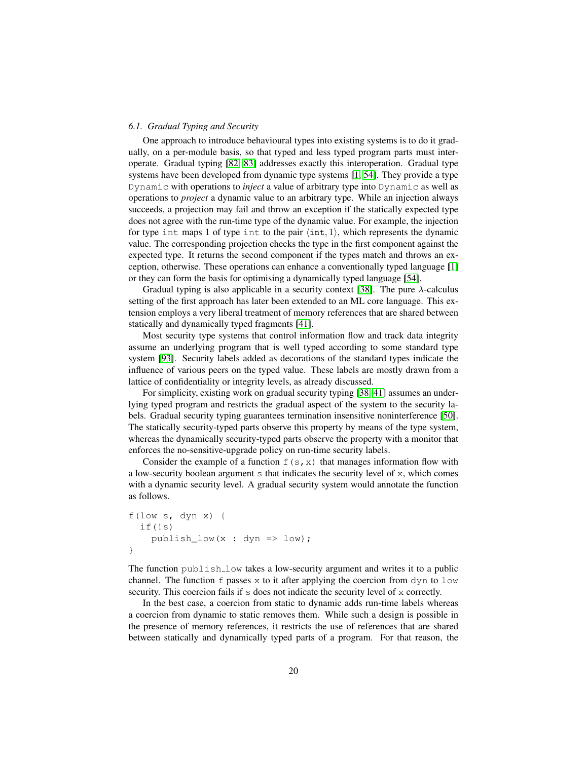## <span id="page-19-0"></span>*6.1. Gradual Typing and Security*

One approach to introduce behavioural types into existing systems is to do it gradually, on a per-module basis, so that typed and less typed program parts must interoperate. Gradual typing [\[82,](#page-31-9) [83\]](#page-31-10) addresses exactly this interoperation. Gradual type systems have been developed from dynamic type systems [\[1,](#page-25-1) [54\]](#page-29-13). They provide a type Dynamic with operations to *inject* a value of arbitrary type into Dynamic as well as operations to *project* a dynamic value to an arbitrary type. While an injection always succeeds, a projection may fail and throw an exception if the statically expected type does not agree with the run-time type of the dynamic value. For example, the injection for type int maps 1 of type int to the pair  $\langle$  int, 1), which represents the dynamic value. The corresponding projection checks the type in the first component against the expected type. It returns the second component if the types match and throws an exception, otherwise. These operations can enhance a conventionally typed language [\[1\]](#page-25-1) or they can form the basis for optimising a dynamically typed language [\[54\]](#page-29-13).

Gradual typing is also applicable in a security context [\[38\]](#page-28-7). The pure  $\lambda$ -calculus setting of the first approach has later been extended to an ML core language. This extension employs a very liberal treatment of memory references that are shared between statically and dynamically typed fragments [\[41\]](#page-28-8).

Most security type systems that control information flow and track data integrity assume an underlying program that is well typed according to some standard type system [\[93\]](#page-31-0). Security labels added as decorations of the standard types indicate the influence of various peers on the typed value. These labels are mostly drawn from a lattice of confidentiality or integrity levels, as already discussed.

For simplicity, existing work on gradual security typing [\[38,](#page-28-7) [41\]](#page-28-8) assumes an underlying typed program and restricts the gradual aspect of the system to the security labels. Gradual security typing guarantees termination insensitive noninterference [\[50\]](#page-29-9). The statically security-typed parts observe this property by means of the type system, whereas the dynamically security-typed parts observe the property with a monitor that enforces the no-sensitive-upgrade policy on run-time security labels.

Consider the example of a function  $f(s, x)$  that manages information flow with a low-security boolean argument s that indicates the security level of  $x$ , which comes with a dynamic security level. A gradual security system would annotate the function as follows.

```
f(low s, dyn x) {
 if(!s)
   publicb_low(x : dyn => low);}
```
The function publish low takes a low-security argument and writes it to a public channel. The function  $f$  passes x to it after applying the coercion from  $\text{dyn}$  to  $\text{low}$ security. This coercion fails if  $\sigma$  does not indicate the security level of  $\alpha$  correctly.

In the best case, a coercion from static to dynamic adds run-time labels whereas a coercion from dynamic to static removes them. While such a design is possible in the presence of memory references, it restricts the use of references that are shared between statically and dynamically typed parts of a program. For that reason, the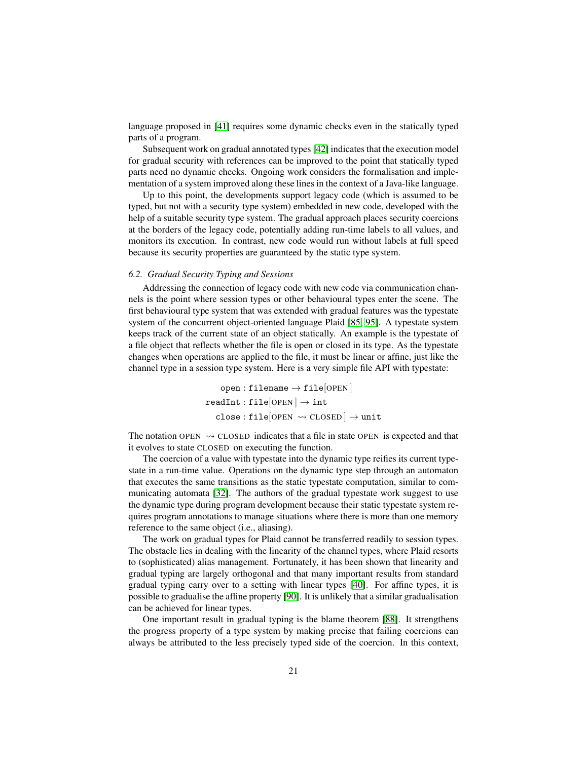language proposed in [\[41\]](#page-28-8) requires some dynamic checks even in the statically typed parts of a program.

Subsequent work on gradual annotated types [\[42\]](#page-28-9) indicates that the execution model for gradual security with references can be improved to the point that statically typed parts need no dynamic checks. Ongoing work considers the formalisation and implementation of a system improved along these lines in the context of a Java-like language.

Up to this point, the developments support legacy code (which is assumed to be typed, but not with a security type system) embedded in new code, developed with the help of a suitable security type system. The gradual approach places security coercions at the borders of the legacy code, potentially adding run-time labels to all values, and monitors its execution. In contrast, new code would run without labels at full speed because its security properties are guaranteed by the static type system.

## <span id="page-20-0"></span>*6.2. Gradual Security Typing and Sessions*

Addressing the connection of legacy code with new code via communication channels is the point where session types or other behavioural types enter the scene. The first behavioural type system that was extended with gradual features was the typestate system of the concurrent object-oriented language Plaid [\[85,](#page-31-11) [95\]](#page-31-12). A typestate system keeps track of the current state of an object statically. An example is the typestate of a file object that reflects whether the file is open or closed in its type. As the typestate changes when operations are applied to the file, it must be linear or affine, just like the channel type in a session type system. Here is a very simple file API with typestate:

> $open: filename \rightarrow file[OPEN]$  $readInt : file[OPEN] \rightarrow int$  $close: file[OPEN \leadsto CLOSED] \rightarrow unit$

The notation OPEN  $\sim$  CLOSED indicates that a file in state OPEN is expected and that it evolves to state CLOSED on executing the function.

The coercion of a value with typestate into the dynamic type reifies its current typestate in a run-time value. Operations on the dynamic type step through an automaton that executes the same transitions as the static typestate computation, similar to communicating automata [\[32\]](#page-28-10). The authors of the gradual typestate work suggest to use the dynamic type during program development because their static typestate system requires program annotations to manage situations where there is more than one memory reference to the same object (i.e., aliasing).

The work on gradual types for Plaid cannot be transferred readily to session types. The obstacle lies in dealing with the linearity of the channel types, where Plaid resorts to (sophisticated) alias management. Fortunately, it has been shown that linearity and gradual typing are largely orthogonal and that many important results from standard gradual typing carry over to a setting with linear types [\[40\]](#page-28-11). For affine types, it is possible to gradualise the affine property [\[90\]](#page-31-13). It is unlikely that a similar gradualisation can be achieved for linear types.

One important result in gradual typing is the blame theorem [\[88\]](#page-31-14). It strengthens the progress property of a type system by making precise that failing coercions can always be attributed to the less precisely typed side of the coercion. In this context,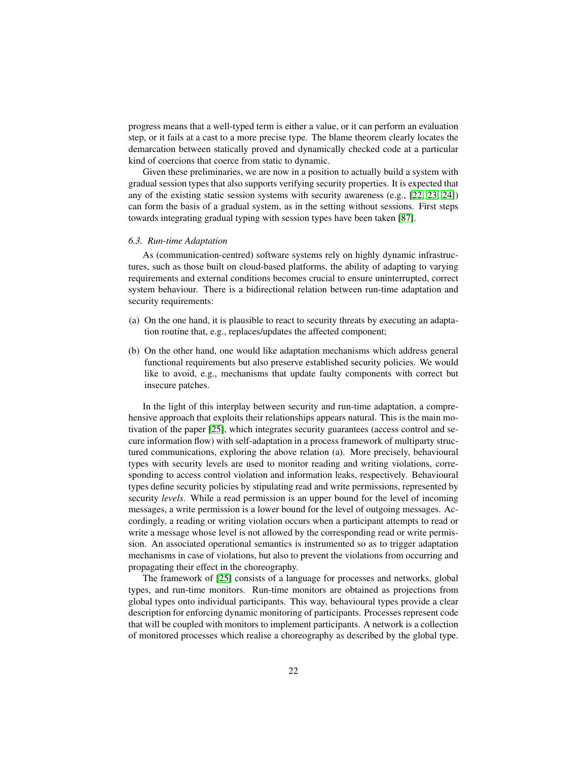progress means that a well-typed term is either a value, or it can perform an evaluation step, or it fails at a cast to a more precise type. The blame theorem clearly locates the demarcation between statically proved and dynamically checked code at a particular kind of coercions that coerce from static to dynamic.

Given these preliminaries, we are now in a position to actually build a system with gradual session types that also supports verifying security properties. It is expected that any of the existing static session systems with security awareness (e.g., [\[22,](#page-27-5) [23,](#page-27-6) [24\]](#page-27-11)) can form the basis of a gradual system, as in the setting without sessions. First steps towards integrating gradual typing with session types have been taken [\[87\]](#page-31-15).

#### <span id="page-21-0"></span>*6.3. Run-time Adaptation*

As (communication-centred) software systems rely on highly dynamic infrastructures, such as those built on cloud-based platforms, the ability of adapting to varying requirements and external conditions becomes crucial to ensure uninterrupted, correct system behaviour. There is a bidirectional relation between run-time adaptation and security requirements:

- (a) On the one hand, it is plausible to react to security threats by executing an adaptation routine that, e.g., replaces/updates the affected component;
- (b) On the other hand, one would like adaptation mechanisms which address general functional requirements but also preserve established security policies. We would like to avoid, e.g., mechanisms that update faulty components with correct but insecure patches.

In the light of this interplay between security and run-time adaptation, a comprehensive approach that exploits their relationships appears natural. This is the main motivation of the paper [\[25\]](#page-27-12), which integrates security guarantees (access control and secure information flow) with self-adaptation in a process framework of multiparty structured communications, exploring the above relation (a). More precisely, behavioural types with security levels are used to monitor reading and writing violations, corresponding to access control violation and information leaks, respectively. Behavioural types define security policies by stipulating read and write permissions, represented by security *levels*. While a read permission is an upper bound for the level of incoming messages, a write permission is a lower bound for the level of outgoing messages. Accordingly, a reading or writing violation occurs when a participant attempts to read or write a message whose level is not allowed by the corresponding read or write permission. An associated operational semantics is instrumented so as to trigger adaptation mechanisms in case of violations, but also to prevent the violations from occurring and propagating their effect in the choreography.

The framework of [\[25\]](#page-27-12) consists of a language for processes and networks, global types, and run-time monitors. Run-time monitors are obtained as projections from global types onto individual participants. This way, behavioural types provide a clear description for enforcing dynamic monitoring of participants. Processes represent code that will be coupled with monitors to implement participants. A network is a collection of monitored processes which realise a choreography as described by the global type.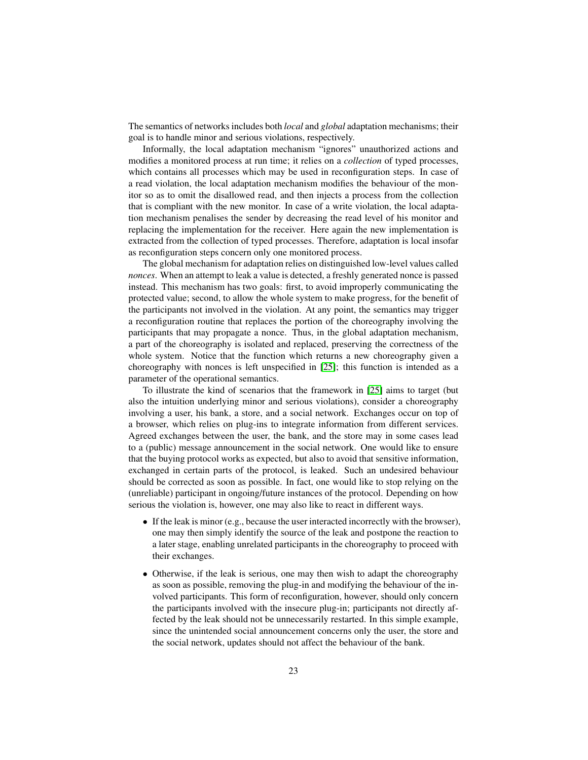The semantics of networks includes both *local* and *global* adaptation mechanisms; their goal is to handle minor and serious violations, respectively.

Informally, the local adaptation mechanism "ignores" unauthorized actions and modifies a monitored process at run time; it relies on a *collection* of typed processes, which contains all processes which may be used in reconfiguration steps. In case of a read violation, the local adaptation mechanism modifies the behaviour of the monitor so as to omit the disallowed read, and then injects a process from the collection that is compliant with the new monitor. In case of a write violation, the local adaptation mechanism penalises the sender by decreasing the read level of his monitor and replacing the implementation for the receiver. Here again the new implementation is extracted from the collection of typed processes. Therefore, adaptation is local insofar as reconfiguration steps concern only one monitored process.

The global mechanism for adaptation relies on distinguished low-level values called *nonces*. When an attempt to leak a value is detected, a freshly generated nonce is passed instead. This mechanism has two goals: first, to avoid improperly communicating the protected value; second, to allow the whole system to make progress, for the benefit of the participants not involved in the violation. At any point, the semantics may trigger a reconfiguration routine that replaces the portion of the choreography involving the participants that may propagate a nonce. Thus, in the global adaptation mechanism, a part of the choreography is isolated and replaced, preserving the correctness of the whole system. Notice that the function which returns a new choreography given a choreography with nonces is left unspecified in [\[25\]](#page-27-12); this function is intended as a parameter of the operational semantics.

To illustrate the kind of scenarios that the framework in [\[25\]](#page-27-12) aims to target (but also the intuition underlying minor and serious violations), consider a choreography involving a user, his bank, a store, and a social network. Exchanges occur on top of a browser, which relies on plug-ins to integrate information from different services. Agreed exchanges between the user, the bank, and the store may in some cases lead to a (public) message announcement in the social network. One would like to ensure that the buying protocol works as expected, but also to avoid that sensitive information, exchanged in certain parts of the protocol, is leaked. Such an undesired behaviour should be corrected as soon as possible. In fact, one would like to stop relying on the (unreliable) participant in ongoing/future instances of the protocol. Depending on how serious the violation is, however, one may also like to react in different ways.

- If the leak is minor (e.g., because the user interacted incorrectly with the browser), one may then simply identify the source of the leak and postpone the reaction to a later stage, enabling unrelated participants in the choreography to proceed with their exchanges.
- Otherwise, if the leak is serious, one may then wish to adapt the choreography as soon as possible, removing the plug-in and modifying the behaviour of the involved participants. This form of reconfiguration, however, should only concern the participants involved with the insecure plug-in; participants not directly affected by the leak should not be unnecessarily restarted. In this simple example, since the unintended social announcement concerns only the user, the store and the social network, updates should not affect the behaviour of the bank.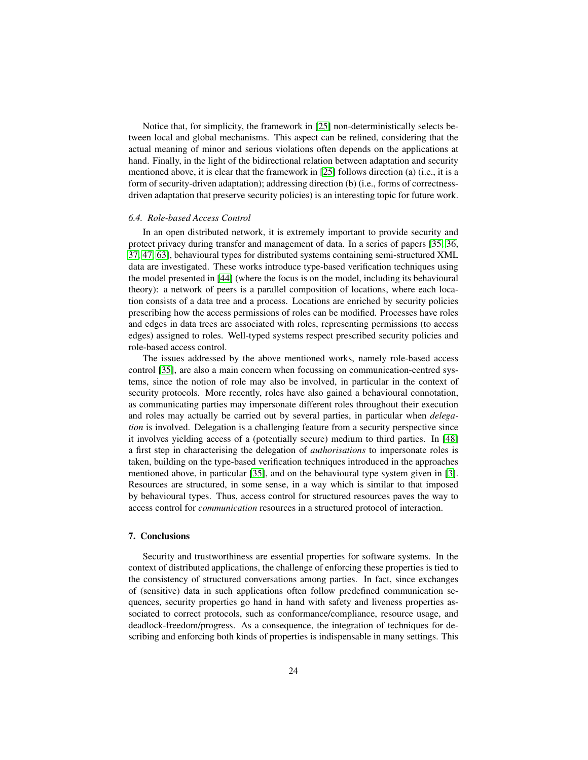Notice that, for simplicity, the framework in [\[25\]](#page-27-12) non-deterministically selects between local and global mechanisms. This aspect can be refined, considering that the actual meaning of minor and serious violations often depends on the applications at hand. Finally, in the light of the bidirectional relation between adaptation and security mentioned above, it is clear that the framework in [\[25\]](#page-27-12) follows direction (a) (i.e., it is a form of security-driven adaptation); addressing direction (b) (i.e., forms of correctnessdriven adaptation that preserve security policies) is an interesting topic for future work.

#### <span id="page-23-0"></span>*6.4. Role-based Access Control*

In an open distributed network, it is extremely important to provide security and protect privacy during transfer and management of data. In a series of papers [\[35,](#page-28-12) [36,](#page-28-13) [37,](#page-28-14) [47,](#page-28-15) [63\]](#page-29-14), behavioural types for distributed systems containing semi-structured XML data are investigated. These works introduce type-based verification techniques using the model presented in [\[44\]](#page-28-16) (where the focus is on the model, including its behavioural theory): a network of peers is a parallel composition of locations, where each location consists of a data tree and a process. Locations are enriched by security policies prescribing how the access permissions of roles can be modified. Processes have roles and edges in data trees are associated with roles, representing permissions (to access edges) assigned to roles. Well-typed systems respect prescribed security policies and role-based access control.

The issues addressed by the above mentioned works, namely role-based access control [\[35\]](#page-28-12), are also a main concern when focussing on communication-centred systems, since the notion of role may also be involved, in particular in the context of security protocols. More recently, roles have also gained a behavioural connotation, as communicating parties may impersonate different roles throughout their execution and roles may actually be carried out by several parties, in particular when *delegation* is involved. Delegation is a challenging feature from a security perspective since it involves yielding access of a (potentially secure) medium to third parties. In [\[48\]](#page-29-15) a first step in characterising the delegation of *authorisations* to impersonate roles is taken, building on the type-based verification techniques introduced in the approaches mentioned above, in particular [\[35\]](#page-28-12), and on the behavioural type system given in [\[3\]](#page-26-12). Resources are structured, in some sense, in a way which is similar to that imposed by behavioural types. Thus, access control for structured resources paves the way to access control for *communication* resources in a structured protocol of interaction.

## <span id="page-23-1"></span>7. Conclusions

Security and trustworthiness are essential properties for software systems. In the context of distributed applications, the challenge of enforcing these properties is tied to the consistency of structured conversations among parties. In fact, since exchanges of (sensitive) data in such applications often follow predefined communication sequences, security properties go hand in hand with safety and liveness properties associated to correct protocols, such as conformance/compliance, resource usage, and deadlock-freedom/progress. As a consequence, the integration of techniques for describing and enforcing both kinds of properties is indispensable in many settings. This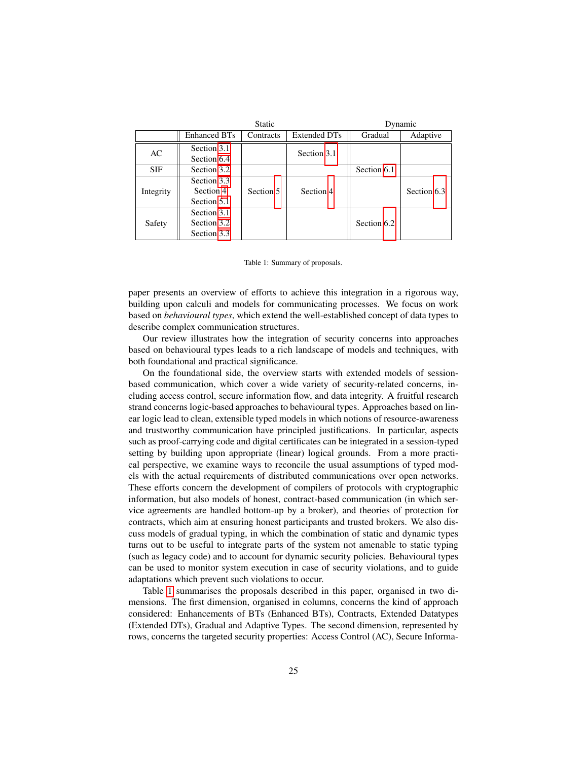|            | <b>Static</b> |           |                     | Dynamic     |             |
|------------|---------------|-----------|---------------------|-------------|-------------|
|            | Enhanced BTs  | Contracts | <b>Extended DTs</b> | Gradual     | Adaptive    |
| AC         | Section 3.1   |           | Section 3.1         |             |             |
|            | Section 6.4   |           |                     |             |             |
| <b>SIF</b> | Section 3.2   |           |                     | Section 6.1 |             |
| Integrity  | Section 3.3   |           |                     |             |             |
|            | Section 4     | Section 5 | Section 4           |             | Section 6.3 |
|            | Section 5.1   |           |                     |             |             |
| Safety     | Section 3.1   |           |                     |             |             |
|            | Section 3.2   |           |                     | Section 6.2 |             |
|            | Section 3.3   |           |                     |             |             |

<span id="page-24-0"></span>Table 1: Summary of proposals.

paper presents an overview of efforts to achieve this integration in a rigorous way, building upon calculi and models for communicating processes. We focus on work based on *behavioural types*, which extend the well-established concept of data types to describe complex communication structures.

Our review illustrates how the integration of security concerns into approaches based on behavioural types leads to a rich landscape of models and techniques, with both foundational and practical significance.

On the foundational side, the overview starts with extended models of sessionbased communication, which cover a wide variety of security-related concerns, including access control, secure information flow, and data integrity. A fruitful research strand concerns logic-based approaches to behavioural types. Approaches based on linear logic lead to clean, extensible typed models in which notions of resource-awareness and trustworthy communication have principled justifications. In particular, aspects such as proof-carrying code and digital certificates can be integrated in a session-typed setting by building upon appropriate (linear) logical grounds. From a more practical perspective, we examine ways to reconcile the usual assumptions of typed models with the actual requirements of distributed communications over open networks. These efforts concern the development of compilers of protocols with cryptographic information, but also models of honest, contract-based communication (in which service agreements are handled bottom-up by a broker), and theories of protection for contracts, which aim at ensuring honest participants and trusted brokers. We also discuss models of gradual typing, in which the combination of static and dynamic types turns out to be useful to integrate parts of the system not amenable to static typing (such as legacy code) and to account for dynamic security policies. Behavioural types can be used to monitor system execution in case of security violations, and to guide adaptations which prevent such violations to occur.

Table [1](#page-24-0) summarises the proposals described in this paper, organised in two dimensions. The first dimension, organised in columns, concerns the kind of approach considered: Enhancements of BTs (Enhanced BTs), Contracts, Extended Datatypes (Extended DTs), Gradual and Adaptive Types. The second dimension, represented by rows, concerns the targeted security properties: Access Control (AC), Secure Informa-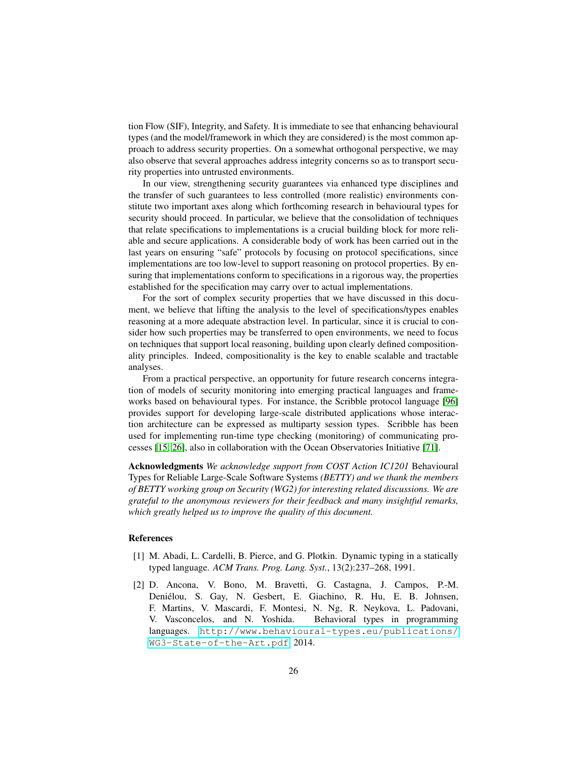tion Flow (SIF), Integrity, and Safety. It is immediate to see that enhancing behavioural types (and the model/framework in which they are considered) is the most common approach to address security properties. On a somewhat orthogonal perspective, we may also observe that several approaches address integrity concerns so as to transport security properties into untrusted environments.

In our view, strengthening security guarantees via enhanced type disciplines and the transfer of such guarantees to less controlled (more realistic) environments constitute two important axes along which forthcoming research in behavioural types for security should proceed. In particular, we believe that the consolidation of techniques that relate specifications to implementations is a crucial building block for more reliable and secure applications. A considerable body of work has been carried out in the last years on ensuring "safe" protocols by focusing on protocol specifications, since implementations are too low-level to support reasoning on protocol properties. By ensuring that implementations conform to specifications in a rigorous way, the properties established for the specification may carry over to actual implementations.

For the sort of complex security properties that we have discussed in this document, we believe that lifting the analysis to the level of specifications/types enables reasoning at a more adequate abstraction level. In particular, since it is crucial to consider how such properties may be transferred to open environments, we need to focus on techniques that support local reasoning, building upon clearly defined compositionality principles. Indeed, compositionality is the key to enable scalable and tractable analyses.

From a practical perspective, an opportunity for future research concerns integration of models of security monitoring into emerging practical languages and frameworks based on behavioural types. For instance, the Scribble protocol language [\[96\]](#page-31-16) provides support for developing large-scale distributed applications whose interaction architecture can be expressed as multiparty session types. Scribble has been used for implementing run-time type checking (monitoring) of communicating processes [\[15,](#page-26-13) [26\]](#page-27-13), also in collaboration with the Ocean Observatories Initiative [\[71\]](#page-30-15).

Acknowledgments *We acknowledge support from COST Action IC1201* Behavioural Types for Reliable Large-Scale Software Systems *(BETTY) and we thank the members of BETTY working group on Security (WG2) for interesting related discussions. We are grateful to the anonymous reviewers for their feedback and many insightful remarks, which greatly helped us to improve the quality of this document.*

## References

- <span id="page-25-1"></span>[1] M. Abadi, L. Cardelli, B. Pierce, and G. Plotkin. Dynamic typing in a statically typed language. *ACM Trans. Prog. Lang. Syst.*, 13(2):237–268, 1991.
- <span id="page-25-0"></span>[2] D. Ancona, V. Bono, M. Bravetti, G. Castagna, J. Campos, P.-M. Deniélou, S. Gay, N. Gesbert, E. Giachino, R. Hu, E. B. Johnsen, F. Martins, V. Mascardi, F. Montesi, N. Ng, R. Neykova, L. Padovani, V. Vasconcelos, and N. Yoshida. Behavioral types in programming languages. [http://www.behavioural-types.eu/publications/](http://www.behavioural-types.eu/publications/WG3-State-of-the-Art.pdf) [WG3-State-of-the-Art.pdf](http://www.behavioural-types.eu/publications/WG3-State-of-the-Art.pdf), 2014.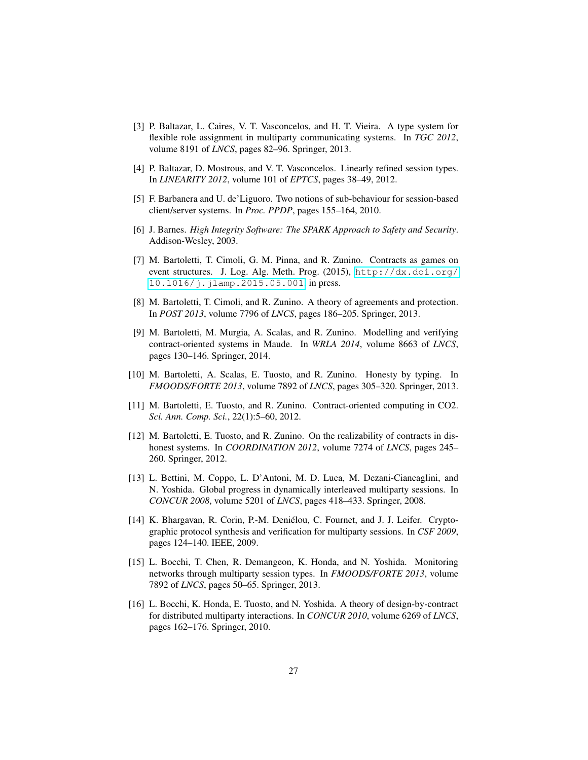- <span id="page-26-12"></span>[3] P. Baltazar, L. Caires, V. T. Vasconcelos, and H. T. Vieira. A type system for flexible role assignment in multiparty communicating systems. In *TGC 2012*, volume 8191 of *LNCS*, pages 82–96. Springer, 2013.
- <span id="page-26-2"></span>[4] P. Baltazar, D. Mostrous, and V. T. Vasconcelos. Linearly refined session types. In *LINEARITY 2012*, volume 101 of *EPTCS*, pages 38–49, 2012.
- <span id="page-26-11"></span>[5] F. Barbanera and U. de'Liguoro. Two notions of sub-behaviour for session-based client/server systems. In *Proc. PPDP*, pages 155–164, 2010.
- <span id="page-26-0"></span>[6] J. Barnes. *High Integrity Software: The SPARK Approach to Safety and Security*. Addison-Wesley, 2003.
- <span id="page-26-9"></span>[7] M. Bartoletti, T. Cimoli, G. M. Pinna, and R. Zunino. Contracts as games on event structures. J. Log. Alg. Meth. Prog. (2015), [http://dx.doi.org/](http://dx.doi.org/10.1016/j.jlamp. 2015.05.001) [10.1016/j.jlamp.2015.05.001](http://dx.doi.org/10.1016/j.jlamp. 2015.05.001), in press.
- <span id="page-26-10"></span>[8] M. Bartoletti, T. Cimoli, and R. Zunino. A theory of agreements and protection. In *POST 2013*, volume 7796 of *LNCS*, pages 186–205. Springer, 2013.
- <span id="page-26-8"></span>[9] M. Bartoletti, M. Murgia, A. Scalas, and R. Zunino. Modelling and verifying contract-oriented systems in Maude. In *WRLA 2014*, volume 8663 of *LNCS*, pages 130–146. Springer, 2014.
- <span id="page-26-7"></span>[10] M. Bartoletti, A. Scalas, E. Tuosto, and R. Zunino. Honesty by typing. In *FMOODS/FORTE 2013*, volume 7892 of *LNCS*, pages 305–320. Springer, 2013.
- <span id="page-26-5"></span>[11] M. Bartoletti, E. Tuosto, and R. Zunino. Contract-oriented computing in CO2. *Sci. Ann. Comp. Sci.*, 22(1):5–60, 2012.
- <span id="page-26-6"></span>[12] M. Bartoletti, E. Tuosto, and R. Zunino. On the realizability of contracts in dishonest systems. In *COORDINATION 2012*, volume 7274 of *LNCS*, pages 245– 260. Springer, 2012.
- <span id="page-26-1"></span>[13] L. Bettini, M. Coppo, L. D'Antoni, M. D. Luca, M. Dezani-Ciancaglini, and N. Yoshida. Global progress in dynamically interleaved multiparty sessions. In *CONCUR 2008*, volume 5201 of *LNCS*, pages 418–433. Springer, 2008.
- <span id="page-26-4"></span>[14] K. Bhargavan, R. Corin, P.-M. Deniélou, C. Fournet, and J. J. Leifer. Cryptographic protocol synthesis and verification for multiparty sessions. In *CSF 2009*, pages 124–140. IEEE, 2009.
- <span id="page-26-13"></span>[15] L. Bocchi, T. Chen, R. Demangeon, K. Honda, and N. Yoshida. Monitoring networks through multiparty session types. In *FMOODS/FORTE 2013*, volume 7892 of *LNCS*, pages 50–65. Springer, 2013.
- <span id="page-26-3"></span>[16] L. Bocchi, K. Honda, E. Tuosto, and N. Yoshida. A theory of design-by-contract for distributed multiparty interactions. In *CONCUR 2010*, volume 6269 of *LNCS*, pages 162–176. Springer, 2010.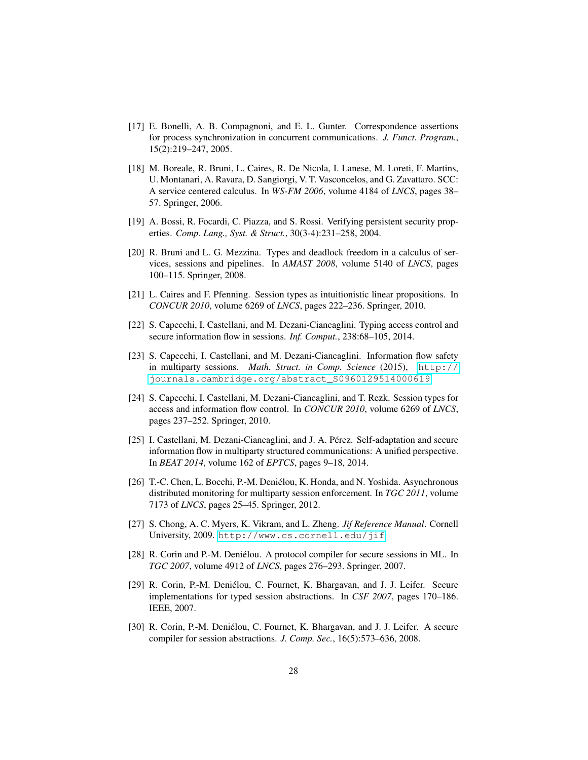- <span id="page-27-7"></span>[17] E. Bonelli, A. B. Compagnoni, and E. L. Gunter. Correspondence assertions for process synchronization in concurrent communications. *J. Funct. Program.*, 15(2):219–247, 2005.
- <span id="page-27-3"></span>[18] M. Boreale, R. Bruni, L. Caires, R. De Nicola, I. Lanese, M. Loreti, F. Martins, U. Montanari, A. Ravara, D. Sangiorgi, V. T. Vasconcelos, and G. Zavattaro. SCC: A service centered calculus. In *WS-FM 2006*, volume 4184 of *LNCS*, pages 38– 57. Springer, 2006.
- <span id="page-27-0"></span>[19] A. Bossi, R. Focardi, C. Piazza, and S. Rossi. Verifying persistent security properties. *Comp. Lang., Syst. & Struct.*, 30(3-4):231–258, 2004.
- <span id="page-27-4"></span>[20] R. Bruni and L. G. Mezzina. Types and deadlock freedom in a calculus of services, sessions and pipelines. In *AMAST 2008*, volume 5140 of *LNCS*, pages 100–115. Springer, 2008.
- <span id="page-27-2"></span>[21] L. Caires and F. Pfenning. Session types as intuitionistic linear propositions. In *CONCUR 2010*, volume 6269 of *LNCS*, pages 222–236. Springer, 2010.
- <span id="page-27-5"></span>[22] S. Capecchi, I. Castellani, and M. Dezani-Ciancaglini. Typing access control and secure information flow in sessions. *Inf. Comput.*, 238:68–105, 2014.
- <span id="page-27-6"></span>[23] S. Capecchi, I. Castellani, and M. Dezani-Ciancaglini. Information flow safety in multiparty sessions. *Math. Struct. in Comp. Science* (2015), [http://](http://journals.cambridge.org/abstract_S0960129514000619) [journals.cambridge.org/abstract\\_S0960129514000619](http://journals.cambridge.org/abstract_S0960129514000619).
- <span id="page-27-11"></span>[24] S. Capecchi, I. Castellani, M. Dezani-Ciancaglini, and T. Rezk. Session types for access and information flow control. In *CONCUR 2010*, volume 6269 of *LNCS*, pages 237–252. Springer, 2010.
- <span id="page-27-12"></span>[25] I. Castellani, M. Dezani-Ciancaglini, and J. A. Pérez. Self-adaptation and secure information flow in multiparty structured communications: A unified perspective. In *BEAT 2014*, volume 162 of *EPTCS*, pages 9–18, 2014.
- <span id="page-27-13"></span>[26] T.-C. Chen, L. Bocchi, P.-M. Deniélou, K. Honda, and N. Yoshida. Asynchronous distributed monitoring for multiparty session enforcement. In *TGC 2011*, volume 7173 of *LNCS*, pages 25–45. Springer, 2012.
- <span id="page-27-1"></span>[27] S. Chong, A. C. Myers, K. Vikram, and L. Zheng. *Jif Reference Manual*. Cornell University, 2009. <http://www.cs.cornell.edu/jif>.
- <span id="page-27-8"></span>[28] R. Corin and P.-M. Deniélou. A protocol compiler for secure sessions in ML. In *TGC 2007*, volume 4912 of *LNCS*, pages 276–293. Springer, 2007.
- <span id="page-27-9"></span>[29] R. Corin, P.-M. Deniélou, C. Fournet, K. Bhargavan, and J. J. Leifer. Secure implementations for typed session abstractions. In *CSF 2007*, pages 170–186. IEEE, 2007.
- <span id="page-27-10"></span>[30] R. Corin, P.-M. Deniélou, C. Fournet, K. Bhargavan, and J. J. Leifer. A secure compiler for session abstractions. *J. Comp. Sec.*, 16(5):573–636, 2008.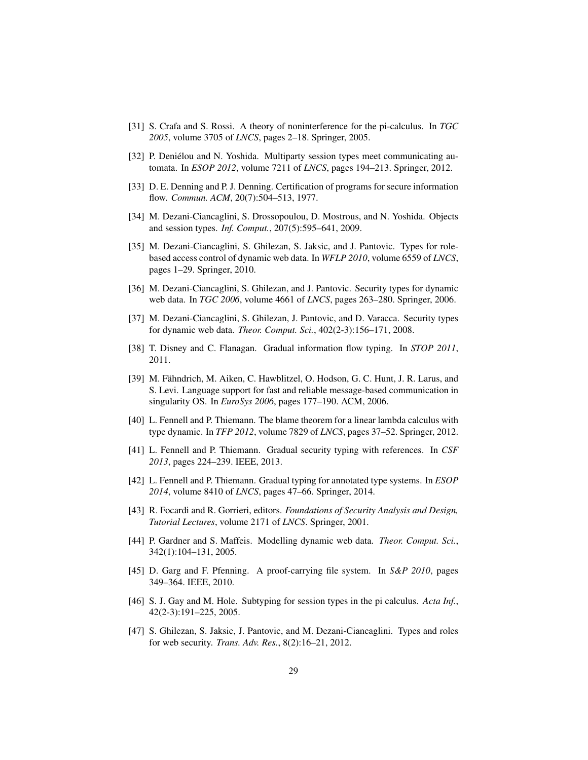- <span id="page-28-1"></span>[31] S. Crafa and S. Rossi. A theory of noninterference for the pi-calculus. In *TGC 2005*, volume 3705 of *LNCS*, pages 2–18. Springer, 2005.
- <span id="page-28-10"></span>[32] P. Deniélou and N. Yoshida. Multiparty session types meet communicating automata. In *ESOP 2012*, volume 7211 of *LNCS*, pages 194–213. Springer, 2012.
- <span id="page-28-0"></span>[33] D. E. Denning and P. J. Denning. Certification of programs for secure information flow. *Commun. ACM*, 20(7):504–513, 1977.
- <span id="page-28-3"></span>[34] M. Dezani-Ciancaglini, S. Drossopoulou, D. Mostrous, and N. Yoshida. Objects and session types. *Inf. Comput.*, 207(5):595–641, 2009.
- <span id="page-28-12"></span>[35] M. Dezani-Ciancaglini, S. Ghilezan, S. Jaksic, and J. Pantovic. Types for rolebased access control of dynamic web data. In *WFLP 2010*, volume 6559 of *LNCS*, pages 1–29. Springer, 2010.
- <span id="page-28-13"></span>[36] M. Dezani-Ciancaglini, S. Ghilezan, and J. Pantovic. Security types for dynamic web data. In *TGC 2006*, volume 4661 of *LNCS*, pages 263–280. Springer, 2006.
- <span id="page-28-14"></span>[37] M. Dezani-Ciancaglini, S. Ghilezan, J. Pantovic, and D. Varacca. Security types for dynamic web data. *Theor. Comput. Sci.*, 402(2-3):156–171, 2008.
- <span id="page-28-7"></span>[38] T. Disney and C. Flanagan. Gradual information flow typing. In *STOP 2011*, 2011.
- <span id="page-28-4"></span>[39] M. Fähndrich, M. Aiken, C. Hawblitzel, O. Hodson, G. C. Hunt, J. R. Larus, and S. Levi. Language support for fast and reliable message-based communication in singularity OS. In *EuroSys 2006*, pages 177–190. ACM, 2006.
- <span id="page-28-11"></span>[40] L. Fennell and P. Thiemann. The blame theorem for a linear lambda calculus with type dynamic. In *TFP 2012*, volume 7829 of *LNCS*, pages 37–52. Springer, 2012.
- <span id="page-28-8"></span>[41] L. Fennell and P. Thiemann. Gradual security typing with references. In *CSF 2013*, pages 224–239. IEEE, 2013.
- <span id="page-28-9"></span>[42] L. Fennell and P. Thiemann. Gradual typing for annotated type systems. In *ESOP 2014*, volume 8410 of *LNCS*, pages 47–66. Springer, 2014.
- <span id="page-28-2"></span>[43] R. Focardi and R. Gorrieri, editors. *Foundations of Security Analysis and Design, Tutorial Lectures*, volume 2171 of *LNCS*. Springer, 2001.
- <span id="page-28-16"></span>[44] P. Gardner and S. Maffeis. Modelling dynamic web data. *Theor. Comput. Sci.*, 342(1):104–131, 2005.
- <span id="page-28-6"></span>[45] D. Garg and F. Pfenning. A proof-carrying file system. In *S&P 2010*, pages 349–364. IEEE, 2010.
- <span id="page-28-5"></span>[46] S. J. Gay and M. Hole. Subtyping for session types in the pi calculus. *Acta Inf.*, 42(2-3):191–225, 2005.
- <span id="page-28-15"></span>[47] S. Ghilezan, S. Jaksic, J. Pantovic, and M. Dezani-Ciancaglini. Types and roles for web security. *Trans. Adv. Res.*, 8(2):16–21, 2012.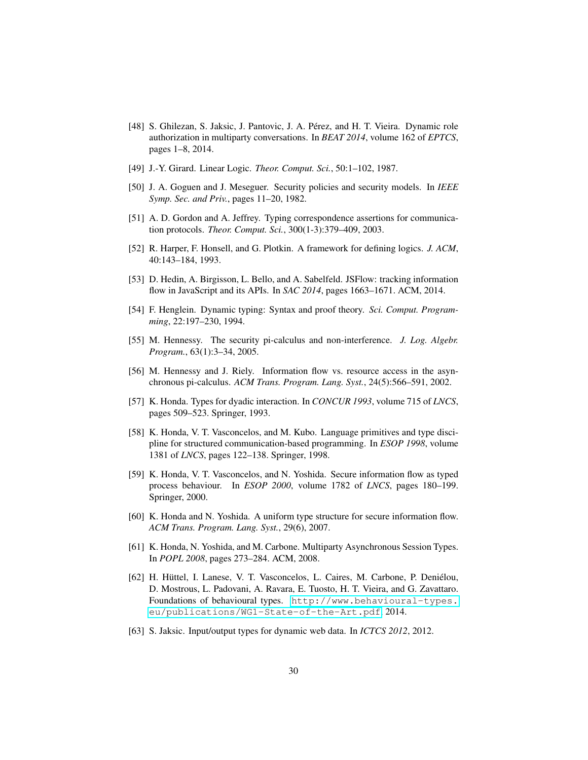- <span id="page-29-15"></span>[48] S. Ghilezan, S. Jaksic, J. Pantovic, J. A. Perez, and H. T. Vieira. Dynamic role ´ authorization in multiparty conversations. In *BEAT 2014*, volume 162 of *EPTCS*, pages 1–8, 2014.
- <span id="page-29-11"></span>[49] J.-Y. Girard. Linear Logic. *Theor. Comput. Sci.*, 50:1–102, 1987.
- <span id="page-29-9"></span>[50] J. A. Goguen and J. Meseguer. Security policies and security models. In *IEEE Symp. Sec. and Priv.*, pages 11–20, 1982.
- <span id="page-29-10"></span>[51] A. D. Gordon and A. Jeffrey. Typing correspondence assertions for communication protocols. *Theor. Comput. Sci.*, 300(1-3):379–409, 2003.
- <span id="page-29-12"></span>[52] R. Harper, F. Honsell, and G. Plotkin. A framework for defining logics. *J. ACM*, 40:143–184, 1993.
- <span id="page-29-4"></span>[53] D. Hedin, A. Birgisson, L. Bello, and A. Sabelfeld. JSFlow: tracking information flow in JavaScript and its APIs. In *SAC 2014*, pages 1663–1671. ACM, 2014.
- <span id="page-29-13"></span>[54] F. Henglein. Dynamic typing: Syntax and proof theory. *Sci. Comput. Programming*, 22:197–230, 1994.
- <span id="page-29-0"></span>[55] M. Hennessy. The security pi-calculus and non-interference. *J. Log. Algebr. Program.*, 63(1):3–34, 2005.
- <span id="page-29-1"></span>[56] M. Hennessy and J. Riely. Information flow vs. resource access in the asynchronous pi-calculus. *ACM Trans. Program. Lang. Syst.*, 24(5):566–591, 2002.
- <span id="page-29-6"></span>[57] K. Honda. Types for dyadic interaction. In *CONCUR 1993*, volume 715 of *LNCS*, pages 509–523. Springer, 1993.
- <span id="page-29-7"></span>[58] K. Honda, V. T. Vasconcelos, and M. Kubo. Language primitives and type discipline for structured communication-based programming. In *ESOP 1998*, volume 1381 of *LNCS*, pages 122–138. Springer, 1998.
- <span id="page-29-2"></span>[59] K. Honda, V. T. Vasconcelos, and N. Yoshida. Secure information flow as typed process behaviour. In *ESOP 2000*, volume 1782 of *LNCS*, pages 180–199. Springer, 2000.
- <span id="page-29-3"></span>[60] K. Honda and N. Yoshida. A uniform type structure for secure information flow. *ACM Trans. Program. Lang. Syst.*, 29(6), 2007.
- <span id="page-29-8"></span>[61] K. Honda, N. Yoshida, and M. Carbone. Multiparty Asynchronous Session Types. In *POPL 2008*, pages 273–284. ACM, 2008.
- <span id="page-29-5"></span>[62] H. Hüttel, I. Lanese, V. T. Vasconcelos, L. Caires, M. Carbone, P. Deniélou, D. Mostrous, L. Padovani, A. Ravara, E. Tuosto, H. T. Vieira, and G. Zavattaro. Foundations of behavioural types. [http://www.behavioural-types.](http://www.behavioural-types.eu/publications/WG1-State-of-the-Art.pdf) [eu/publications/WG1-State-of-the-Art.pdf](http://www.behavioural-types.eu/publications/WG1-State-of-the-Art.pdf), 2014.
- <span id="page-29-14"></span>[63] S. Jaksic. Input/output types for dynamic web data. In *ICTCS 2012*, 2012.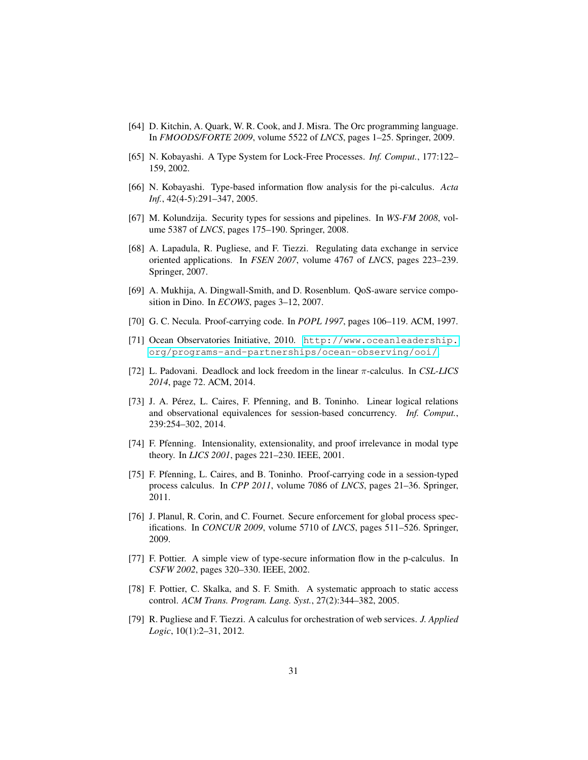- <span id="page-30-5"></span>[64] D. Kitchin, A. Quark, W. R. Cook, and J. Misra. The Orc programming language. In *FMOODS/FORTE 2009*, volume 5522 of *LNCS*, pages 1–25. Springer, 2009.
- <span id="page-30-8"></span>[65] N. Kobayashi. A Type System for Lock-Free Processes. *Inf. Comput.*, 177:122– 159, 2002.
- <span id="page-30-0"></span>[66] N. Kobayashi. Type-based information flow analysis for the pi-calculus. *Acta Inf.*, 42(4-5):291–347, 2005.
- <span id="page-30-4"></span>[67] M. Kolundzija. Security types for sessions and pipelines. In *WS-FM 2008*, volume 5387 of *LNCS*, pages 175–190. Springer, 2008.
- <span id="page-30-2"></span>[68] A. Lapadula, R. Pugliese, and F. Tiezzi. Regulating data exchange in service oriented applications. In *FSEN 2007*, volume 4767 of *LNCS*, pages 223–239. Springer, 2007.
- <span id="page-30-14"></span>[69] A. Mukhija, A. Dingwall-Smith, and D. Rosenblum. QoS-aware service composition in Dino. In *ECOWS*, pages 3–12, 2007.
- <span id="page-30-12"></span>[70] G. C. Necula. Proof-carrying code. In *POPL 1997*, pages 106–119. ACM, 1997.
- <span id="page-30-15"></span>[71] Ocean Observatories Initiative, 2010. [http://www.oceanleadership.](http://www.oceanleadership.org/programs-and-partnerships/ocean-observing/ooi/) [org/programs-and-partnerships/ocean-observing/ooi/](http://www.oceanleadership.org/programs-and-partnerships/ocean-observing/ooi/).
- <span id="page-30-9"></span>[72] L. Padovani. Deadlock and lock freedom in the linear π-calculus. In *CSL-LICS 2014*, page 72. ACM, 2014.
- <span id="page-30-7"></span>[73] J. A. Pérez, L. Caires, F. Pfenning, and B. Toninho. Linear logical relations and observational equivalences for session-based concurrency. *Inf. Comput.*, 239:254–302, 2014.
- <span id="page-30-11"></span>[74] F. Pfenning. Intensionality, extensionality, and proof irrelevance in modal type theory. In *LICS 2001*, pages 221–230. IEEE, 2001.
- <span id="page-30-10"></span>[75] F. Pfenning, L. Caires, and B. Toninho. Proof-carrying code in a session-typed process calculus. In *CPP 2011*, volume 7086 of *LNCS*, pages 21–36. Springer, 2011.
- <span id="page-30-13"></span>[76] J. Planul, R. Corin, and C. Fournet. Secure enforcement for global process specifications. In *CONCUR 2009*, volume 5710 of *LNCS*, pages 511–526. Springer, 2009.
- <span id="page-30-1"></span>[77] F. Pottier. A simple view of type-secure information flow in the p-calculus. In *CSFW 2002*, pages 320–330. IEEE, 2002.
- <span id="page-30-6"></span>[78] F. Pottier, C. Skalka, and S. F. Smith. A systematic approach to static access control. *ACM Trans. Program. Lang. Syst.*, 27(2):344–382, 2005.
- <span id="page-30-3"></span>[79] R. Pugliese and F. Tiezzi. A calculus for orchestration of web services. *J. Applied Logic*, 10(1):2–31, 2012.